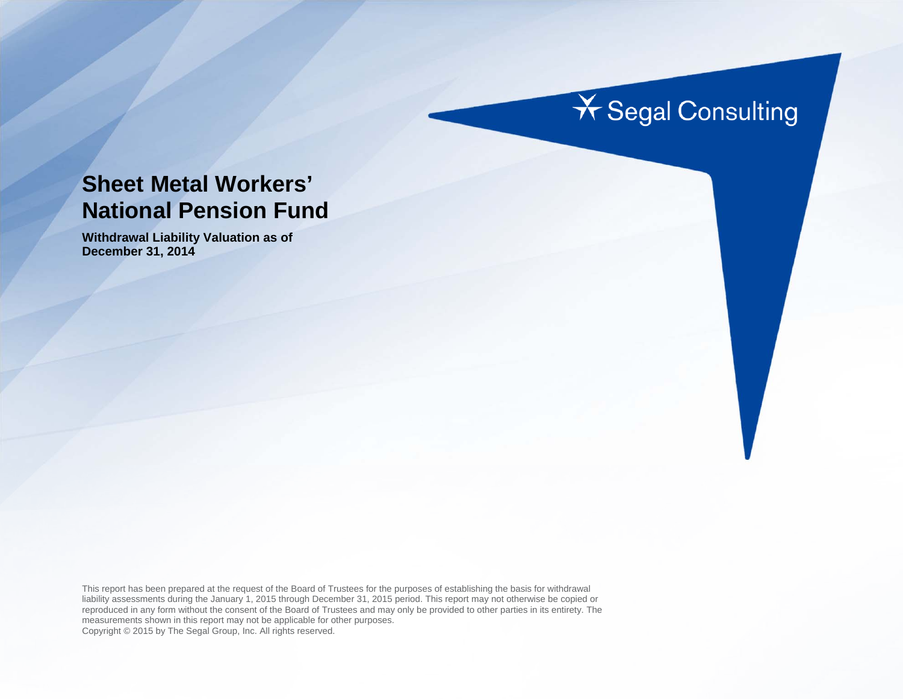# **X** Segal Consulting

# **Sheet Metal Workers' National Pension Fund**

**Withdrawal Liability Valuation as of December 31, 2014** 

This report has been prepared at the request of the Board of Trustees for the purposes of establishing the basis for withdrawal liability assessments during the January 1, 2015 through December 31, 2015 period. This report may not otherwise be copied or reproduced in any form without the consent of the Board of Trustees and may only be provided to other parties in its entirety. The measurements shown in this report may not be applicable for other purposes. Copyright © 2015 by The Segal Group, Inc. All rights reserved.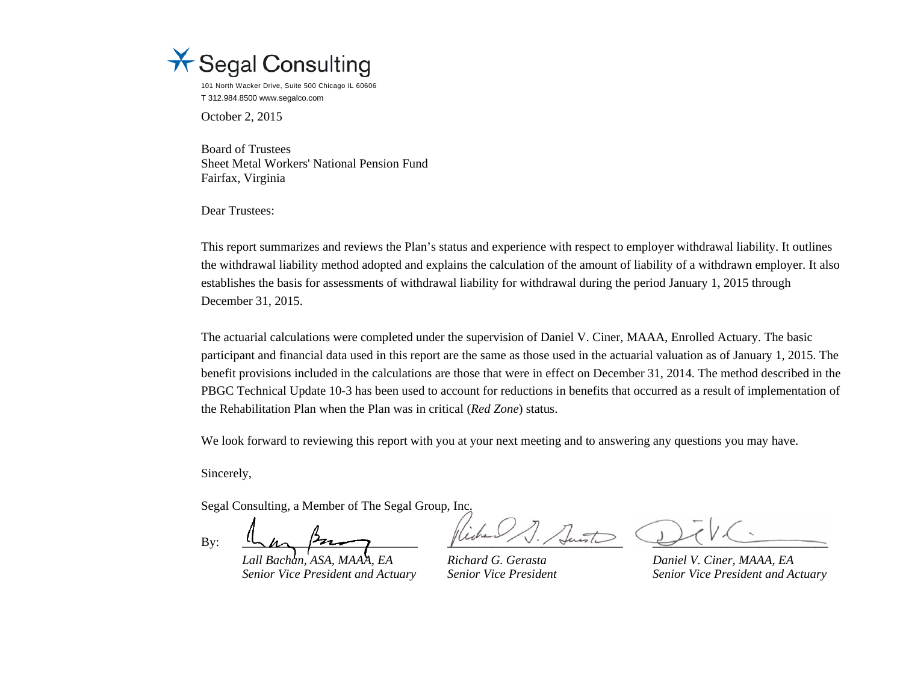

101 North Wacker Drive, Suite 500 Chicago IL 60606 T 312.984.8500 www.segalco.com

October 2, 2015

Board of Trustees Sheet Metal Workers' National Pension Fund Fairfax, Virginia

Dear Trustees:

This report summarizes and reviews the Plan's status and experience with respect to employer withdrawal liability. It outlines the withdrawal liability method adopted and explains the calculation of the amount of liability of a withdrawn employer. It also establishes the basis for assessments of withdrawal liability for withdrawal during the period January 1, 2015 through December 31, 2015.

The actuarial calculations were completed under the supervision of Daniel V. Ciner, MAAA, Enrolled Actuary. The basic participant and financial data used in this report are the same as those used in the actuarial valuation as of January 1, 2015. The benefit provisions included in the calculations are those that were in effect on December 31, 2014. The method described in the PBGC Technical Update 10-3 has been used to account for reductions in benefits that occurred as a result of implementation of the Rehabilitation Plan when the Plan was in critical (*Red Zone*) status.

We look forward to reviewing this report with you at your next meeting and to answering any questions you may have.

Sincerely,

Segal Consulting, a Member of The Segal Group, Inc.

By: \_\_\_\_\_\_\_\_\_\_\_\_\_\_\_\_\_\_\_\_\_\_\_\_\_\_\_\_ \_\_\_\_\_\_\_\_\_\_\_\_\_\_\_\_\_\_\_\_\_\_\_\_\_\_\_\_ \_\_\_\_\_\_\_\_\_\_\_\_\_\_\_\_\_\_\_\_\_\_\_\_\_\_\_\_

*Lall Bachan, ASA, MAAA, EA Richard G. Gerasta Daniel V. Ciner, MAAA, EA* 

*Senior Vice President and Actuary Senior Vice President Senior Vice President and Actuary*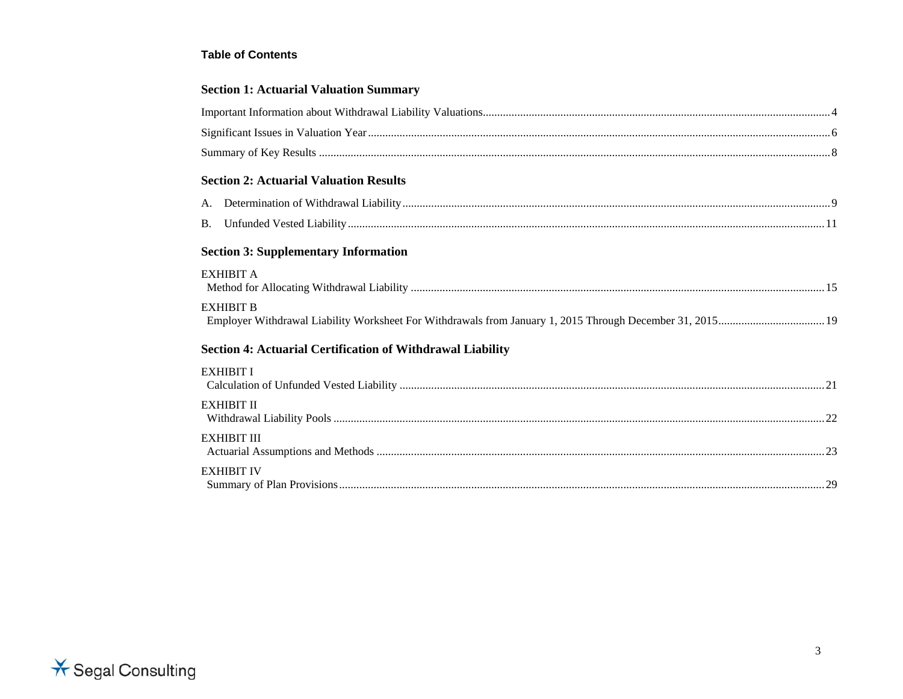#### **Table of Contents**

# **Section 1: Actuarial Valuation Summary**

| <b>Section 2: Actuarial Valuation Results</b>                     |  |
|-------------------------------------------------------------------|--|
|                                                                   |  |
|                                                                   |  |
| <b>Section 3: Supplementary Information</b>                       |  |
| <b>EXHIBIT A</b>                                                  |  |
| <b>EXHIBIT B</b>                                                  |  |
| <b>Section 4: Actuarial Certification of Withdrawal Liability</b> |  |
| <b>EXHIBIT I</b>                                                  |  |
| <b>EXHIBIT II</b>                                                 |  |
| <b>EXHIBIT III</b>                                                |  |
| <b>EXHIBIT IV</b>                                                 |  |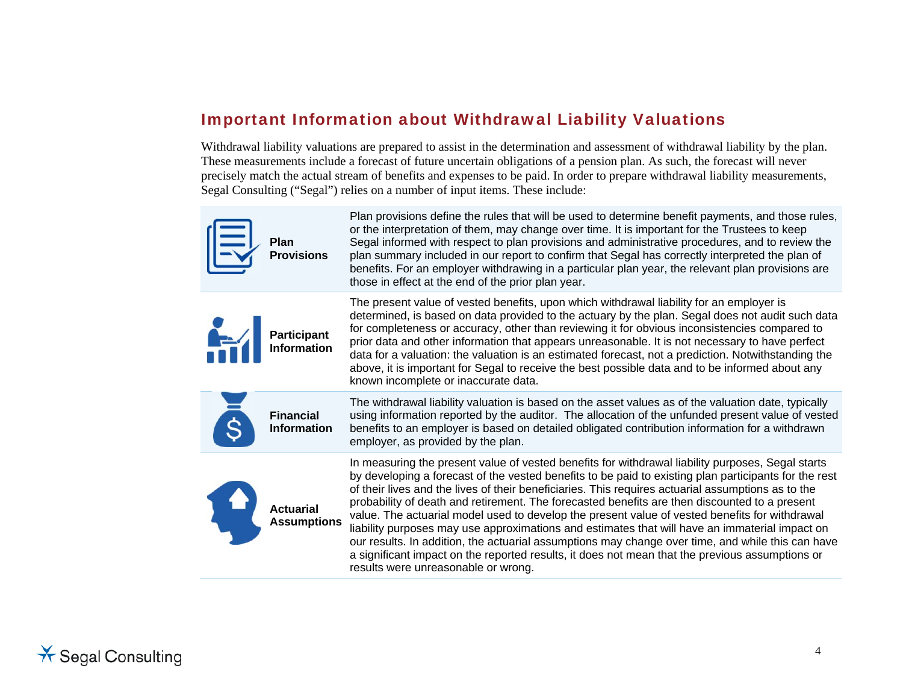# Important Information about Withdrawal Liability Valuations

Withdrawal liability valuations are prepared to assist in the determination and assessment of withdrawal liability by the plan. These measurements include a forecast of future uncertain obligations of a pension plan. As such, the forecast will never precisely match the actual stream of benefits and expenses to be paid. In order to prepare withdrawal liability measurements, Segal Consulting ("Segal") relies on a number of input items. These include:

| 信            | Plan<br><b>Provisions</b>              | Plan provisions define the rules that will be used to determine benefit payments, and those rules,<br>or the interpretation of them, may change over time. It is important for the Trustees to keep<br>Segal informed with respect to plan provisions and administrative procedures, and to review the<br>plan summary included in our report to confirm that Segal has correctly interpreted the plan of<br>benefits. For an employer withdrawing in a particular plan year, the relevant plan provisions are<br>those in effect at the end of the prior plan year.                                                                                                                                                                                                                                                                                                 |
|--------------|----------------------------------------|----------------------------------------------------------------------------------------------------------------------------------------------------------------------------------------------------------------------------------------------------------------------------------------------------------------------------------------------------------------------------------------------------------------------------------------------------------------------------------------------------------------------------------------------------------------------------------------------------------------------------------------------------------------------------------------------------------------------------------------------------------------------------------------------------------------------------------------------------------------------|
| $\mathbf{H}$ | <b>Participant</b><br>Information      | The present value of vested benefits, upon which withdrawal liability for an employer is<br>determined, is based on data provided to the actuary by the plan. Segal does not audit such data<br>for completeness or accuracy, other than reviewing it for obvious inconsistencies compared to<br>prior data and other information that appears unreasonable. It is not necessary to have perfect<br>data for a valuation: the valuation is an estimated forecast, not a prediction. Notwithstanding the<br>above, it is important for Segal to receive the best possible data and to be informed about any<br>known incomplete or inaccurate data.                                                                                                                                                                                                                   |
| <b>S</b>     | <b>Financial</b><br><b>Information</b> | The withdrawal liability valuation is based on the asset values as of the valuation date, typically<br>using information reported by the auditor. The allocation of the unfunded present value of vested<br>benefits to an employer is based on detailed obligated contribution information for a withdrawn<br>employer, as provided by the plan.                                                                                                                                                                                                                                                                                                                                                                                                                                                                                                                    |
| $\mathbf{r}$ | <b>Actuarial</b><br><b>Assumptions</b> | In measuring the present value of vested benefits for withdrawal liability purposes, Segal starts<br>by developing a forecast of the vested benefits to be paid to existing plan participants for the rest<br>of their lives and the lives of their beneficiaries. This requires actuarial assumptions as to the<br>probability of death and retirement. The forecasted benefits are then discounted to a present<br>value. The actuarial model used to develop the present value of vested benefits for withdrawal<br>liability purposes may use approximations and estimates that will have an immaterial impact on<br>our results. In addition, the actuarial assumptions may change over time, and while this can have<br>a significant impact on the reported results, it does not mean that the previous assumptions or<br>results were unreasonable or wrong. |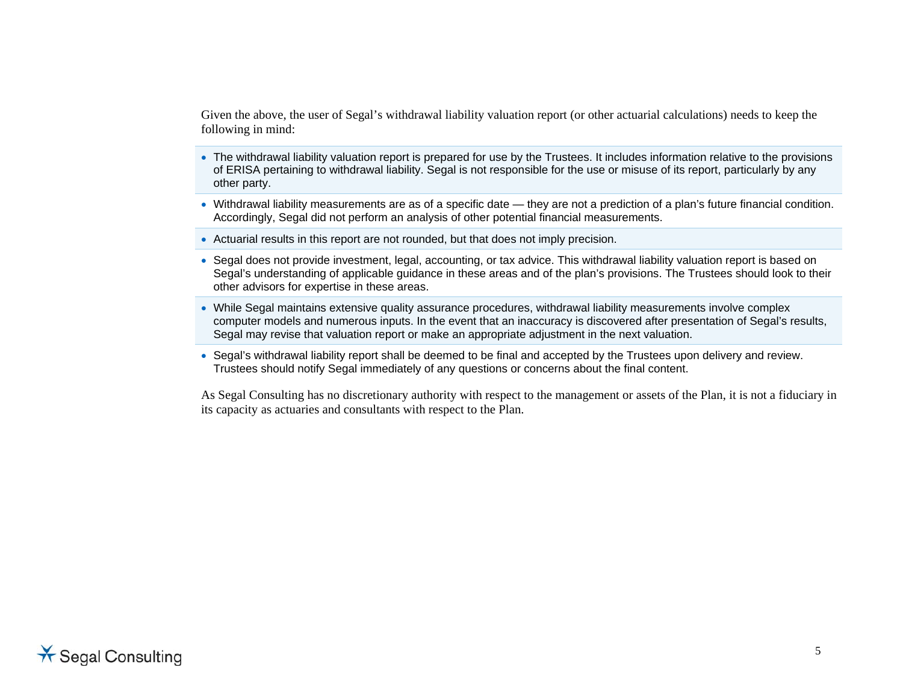Given the above, the user of Segal's withdrawal liability valuation report (or other actuarial calculations) needs to keep the following in mind:

- The withdrawal liability valuation report is prepared for use by the Trustees. It includes information relative to the provisions of ERISA pertaining to withdrawal liability. Segal is not responsible for the use or misuse of its report, particularly by any other party.
- Withdrawal liability measurements are as of a specific date they are not a prediction of a plan's future financial condition. Accordingly, Segal did not perform an analysis of other potential financial measurements.
- Actuarial results in this report are not rounded, but that does not imply precision.
- Segal does not provide investment, legal, accounting, or tax advice. This withdrawal liability valuation report is based on Segal's understanding of applicable guidance in these areas and of the plan's provisions. The Trustees should look to their other advisors for expertise in these areas.
- While Segal maintains extensive quality assurance procedures, withdrawal liability measurements involve complex computer models and numerous inputs. In the event that an inaccuracy is discovered after presentation of Segal's results, Segal may revise that valuation report or make an appropriate adjustment in the next valuation.
- Segal's withdrawal liability report shall be deemed to be final and accepted by the Trustees upon delivery and review. Trustees should notify Segal immediately of any questions or concerns about the final content.

As Segal Consulting has no discretionary authority with respect to the management or assets of the Plan, it is not a fiduciary in its capacity as actuaries and consultants with respect to the Plan.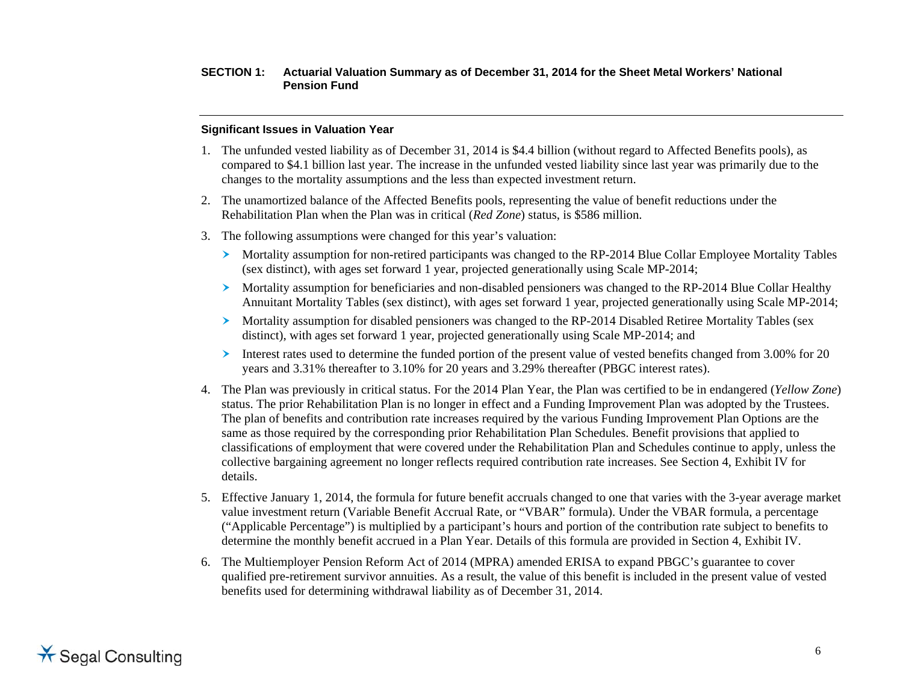#### **Significant Issues in Valuation Year**

- 1. The unfunded vested liability as of December 31, 2014 is \$4.4 billion (without regard to Affected Benefits pools), as compared to \$4.1 billion last year. The increase in the unfunded vested liability since last year was primarily due to the changes to the mortality assumptions and the less than expected investment return.
- 2. The unamortized balance of the Affected Benefits pools, representing the value of benefit reductions under the Rehabilitation Plan when the Plan was in critical (*Red Zone*) status, is \$586 million.
- 3. The following assumptions were changed for this year's valuation:
	- Mortality assumption for non-retired participants was changed to the RP-2014 Blue Collar Employee Mortality Tables (sex distinct), with ages set forward 1 year, projected generationally using Scale MP-2014;
	- Mortality assumption for beneficiaries and non-disabled pensioners was changed to the RP-2014 Blue Collar Healthy Annuitant Mortality Tables (sex distinct), with ages set forward 1 year, projected generationally using Scale MP-2014;
	- **Mortality assumption for disabled pensioners was changed to the RP-2014 Disabled Retiree Mortality Tables (sex** distinct), with ages set forward 1 year, projected generationally using Scale MP-2014; and
	- Interest rates used to determine the funded portion of the present value of vested benefits changed from 3.00% for 20 years and 3.31% thereafter to 3.10% for 20 years and 3.29% thereafter (PBGC interest rates).
- 4. The Plan was previously in critical status. For the 2014 Plan Year, the Plan was certified to be in endangered (*Yellow Zone*) status. The prior Rehabilitation Plan is no longer in effect and a Funding Improvement Plan was adopted by the Trustees. The plan of benefits and contribution rate increases required by the various Funding Improvement Plan Options are the same as those required by the corresponding prior Rehabilitation Plan Schedules. Benefit provisions that applied to classifications of employment that were covered under the Rehabilitation Plan and Schedules continue to apply, unless the collective bargaining agreement no longer reflects required contribution rate increases. See Section 4, Exhibit IV for details.
- 5. Effective January 1, 2014, the formula for future benefit accruals changed to one that varies with the 3-year average market value investment return (Variable Benefit Accrual Rate, or "VBAR" formula). Under the VBAR formula, a percentage ("Applicable Percentage") is multiplied by a participant's hours and portion of the contribution rate subject to benefits to determine the monthly benefit accrued in a Plan Year. Details of this formula are provided in Section 4, Exhibit IV.
- 6. The Multiemployer Pension Reform Act of 2014 (MPRA) amended ERISA to expand PBGC's guarantee to cover qualified pre-retirement survivor annuities. As a result, the value of this benefit is included in the present value of vested benefits used for determining withdrawal liability as of December 31, 2014.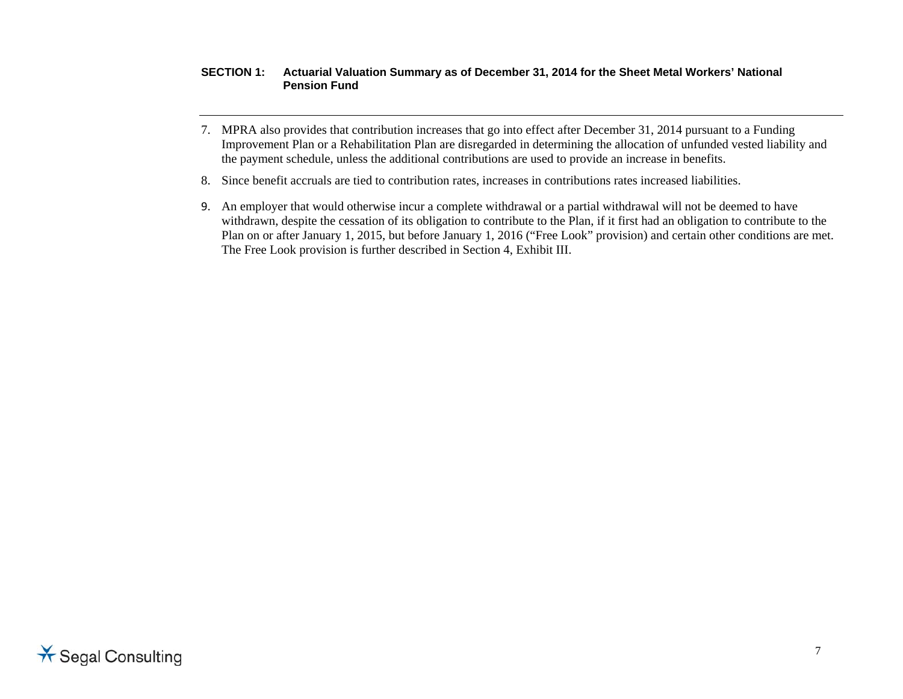- 7. MPRA also provides that contribution increases that go into effect after December 31, 2014 pursuant to a Funding Improvement Plan or a Rehabilitation Plan are disregarded in determining the allocation of unfunded vested liability and the payment schedule, unless the additional contributions are used to provide an increase in benefits.
- 8. Since benefit accruals are tied to contribution rates, increases in contributions rates increased liabilities.
- 9. An employer that would otherwise incur a complete withdrawal or a partial withdrawal will not be deemed to have withdrawn, despite the cessation of its obligation to contribute to the Plan, if it first had an obligation to contribute to the Plan on or after January 1, 2015, but before January 1, 2016 ("Free Look" provision) and certain other conditions are met. The Free Look provision is further described in Section 4, Exhibit III.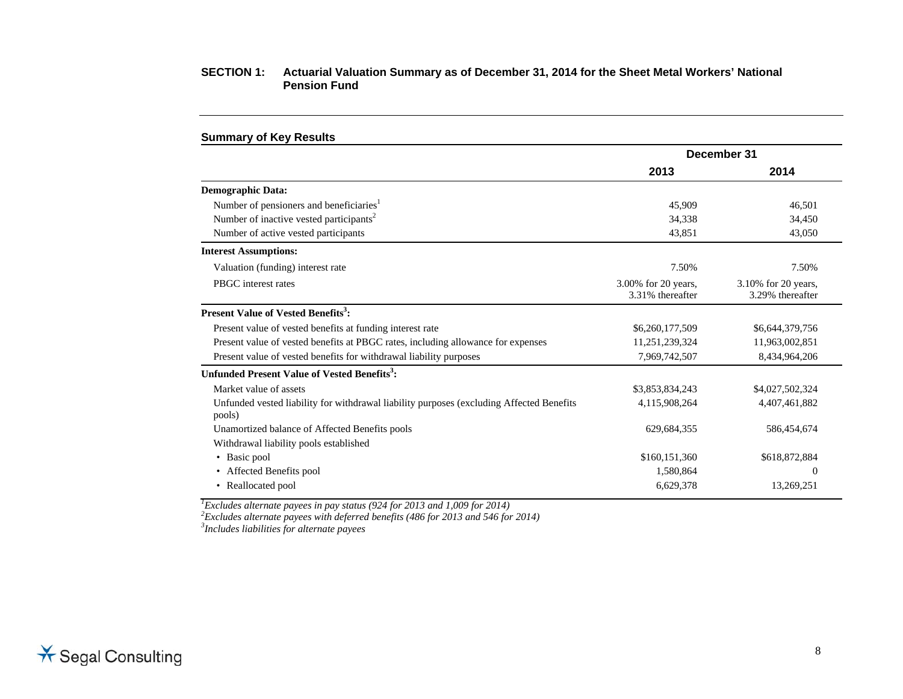|                                                                                                    | December 31                             |                                         |  |
|----------------------------------------------------------------------------------------------------|-----------------------------------------|-----------------------------------------|--|
|                                                                                                    | 2013                                    | 2014                                    |  |
| <b>Demographic Data:</b>                                                                           |                                         |                                         |  |
| Number of pensioners and beneficiaries <sup>1</sup>                                                | 45,909                                  | 46,501                                  |  |
| Number of inactive vested participants <sup>2</sup>                                                | 34,338                                  | 34,450                                  |  |
| Number of active vested participants                                                               | 43,851                                  | 43,050                                  |  |
| <b>Interest Assumptions:</b>                                                                       |                                         |                                         |  |
| Valuation (funding) interest rate                                                                  | 7.50%                                   | 7.50%                                   |  |
| PBGC interest rates                                                                                | 3.00% for 20 years,<br>3.31% thereafter | 3.10% for 20 years,<br>3.29% thereafter |  |
| Present Value of Vested Benefits <sup>3</sup> :                                                    |                                         |                                         |  |
| Present value of vested benefits at funding interest rate                                          | \$6,260,177,509                         | \$6,644,379,756                         |  |
| Present value of vested benefits at PBGC rates, including allowance for expenses                   | 11,251,239,324                          | 11,963,002,851                          |  |
| Present value of vested benefits for withdrawal liability purposes                                 | 7,969,742,507                           | 8,434,964,206                           |  |
| Unfunded Present Value of Vested Benefits <sup>3</sup> :                                           |                                         |                                         |  |
| Market value of assets                                                                             | \$3,853,834,243                         | \$4,027,502,324                         |  |
| Unfunded vested liability for withdrawal liability purposes (excluding Affected Benefits<br>pools) | 4,115,908,264                           | 4,407,461,882                           |  |
| Unamortized balance of Affected Benefits pools                                                     | 629, 684, 355                           | 586,454,674                             |  |
| Withdrawal liability pools established                                                             |                                         |                                         |  |
| • Basic pool                                                                                       | \$160,151,360                           | \$618,872,884                           |  |
| • Affected Benefits pool                                                                           | 1,580,864                               | $\theta$                                |  |
| • Reallocated pool                                                                                 | 6,629,378                               | 13,269,251                              |  |

*1Excludes alternate payees in pay status (924 for 2013 and 1,009 for 2014)* 

*2Excludes alternate payees with deferred benefits (486 for 2013 and 546 for 2014)* 

*3Includes liabilities for alternate payees*

**Summary of Key Results**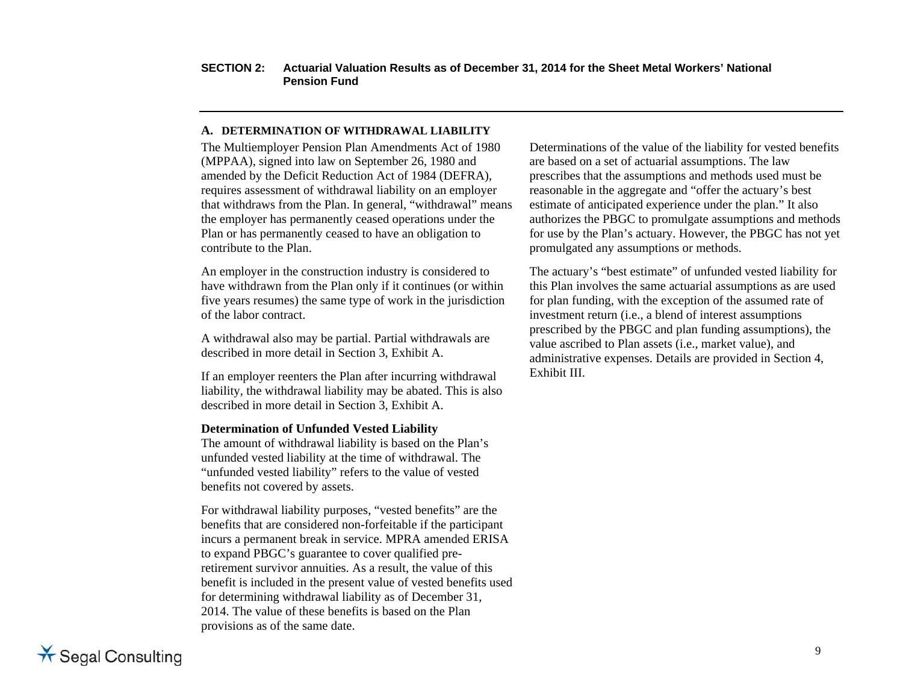#### **A. DETERMINATION OF WITHDRAWAL LIABILITY**

The Multiemployer Pension Plan Amendments Act of 1980 (MPPAA), signed into law on September 26, 1980 and amended by the Deficit Reduction Act of 1984 (DEFRA), requires assessment of withdrawal liability on an employer that withdraws from the Plan. In general, "withdrawal" means the employer has permanently ceased operations under the Plan or has permanently ceased to have an obligation to contribute to the Plan.

An employer in the construction industry is considered to have withdrawn from the Plan only if it continues (or within five years resumes) the same type of work in the jurisdiction of the labor contract.

A withdrawal also may be partial. Partial withdrawals are described in more detail in Section 3, Exhibit A.

If an employer reenters the Plan after incurring withdrawal liability, the withdrawal liability may be abated. This is also described in more detail in Section 3, Exhibit A.

#### **Determination of Unfunded Vested Liability**

The amount of withdrawal liability is based on the Plan's unfunded vested liability at the time of withdrawal. The "unfunded vested liability" refers to the value of vested benefits not covered by assets.

For withdrawal liability purposes, "vested benefits" are the benefits that are considered non-forfeitable if the participant incurs a permanent break in service. MPRA amended ERISA to expand PBGC's guarantee to cover qualified preretirement survivor annuities. As a result, the value of this benefit is included in the present value of vested benefits used for determining withdrawal liability as of December 31, 2014. The value of these benefits is based on the Plan provisions as of the same date.

Determinations of the value of the liability for vested benefits are based on a set of actuarial assumptions. The law prescribes that the assumptions and methods used must be reasonable in the aggregate and "offer the actuary's best estimate of anticipated experience under the plan." It also authorizes the PBGC to promulgate assumptions and methods for use by the Plan's actuary. However, the PBGC has not yet promulgated any assumptions or methods.

The actuary's "best estimate" of unfunded vested liability for this Plan involves the same actuarial assumptions as are used for plan funding, with the exception of the assumed rate of investment return (i.e., a blend of interest assumptions prescribed by the PBGC and plan funding assumptions), the value ascribed to Plan assets (i.e., market value), and administrative expenses. Details are provided in Section 4, Exhibit III.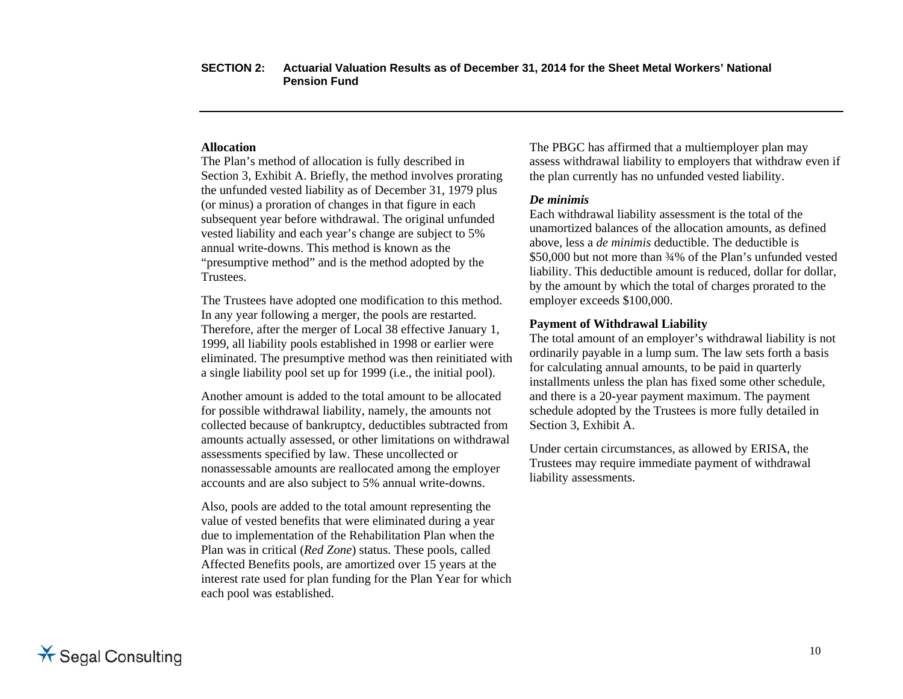#### **Allocation**

The Plan's method of allocation is fully described in Section 3, Exhibit A. Briefly, the method involves prorating the unfunded vested liability as of December 31, 1979 plus (or minus) a proration of changes in that figure in each subsequent year before withdrawal. The original unfunded vested liability and each year's change are subject to 5% annual write-downs. This method is known as the "presumptive method" and is the method adopted by the Trustees.

The Trustees have adopted one modification to this method. In any year following a merger, the pools are restarted. Therefore, after the merger of Local 38 effective January 1, 1999, all liability pools established in 1998 or earlier were eliminated. The presumptive method was then reinitiated with a single liability pool set up for 1999 (i.e., the initial pool).

Another amount is added to the total amount to be allocated for possible withdrawal liability, namely, the amounts not collected because of bankruptcy, deductibles subtracted from amounts actually assessed, or other limitations on withdrawal assessments specified by law. These uncollected or nonassessable amounts are reallocated among the employer accounts and are also subject to 5% annual write-downs.

Also, pools are added to the total amount representing the value of vested benefits that were eliminated during a year due to implementation of the Rehabilitation Plan when the Plan was in critical (*Red Zone*) status. These pools, called Affected Benefits pools, are amortized over 15 years at the interest rate used for plan funding for the Plan Year for which each pool was established.

The PBGC has affirmed that a multiemployer plan may assess withdrawal liability to employers that withdraw even if the plan currently has no unfunded vested liability.

#### *De minimis*

Each withdrawal liability assessment is the total of the unamortized balances of the allocation amounts, as defined above, less a *de minimis* deductible. The deductible is \$50,000 but not more than ¾% of the Plan's unfunded vested liability. This deductible amount is reduced, dollar for dollar, by the amount by which the total of charges prorated to the employer exceeds \$100,000.

#### **Payment of Withdrawal Liability**

The total amount of an employer's withdrawal liability is not ordinarily payable in a lump sum. The law sets forth a basis for calculating annual amounts, to be paid in quarterly installments unless the plan has fixed some other schedule, and there is a 20-year payment maximum. The payment schedule adopted by the Trustees is more fully detailed in Section 3, Exhibit A.

Under certain circumstances, as allowed by ERISA, the Trustees may require immediate payment of withdrawal liability assessments.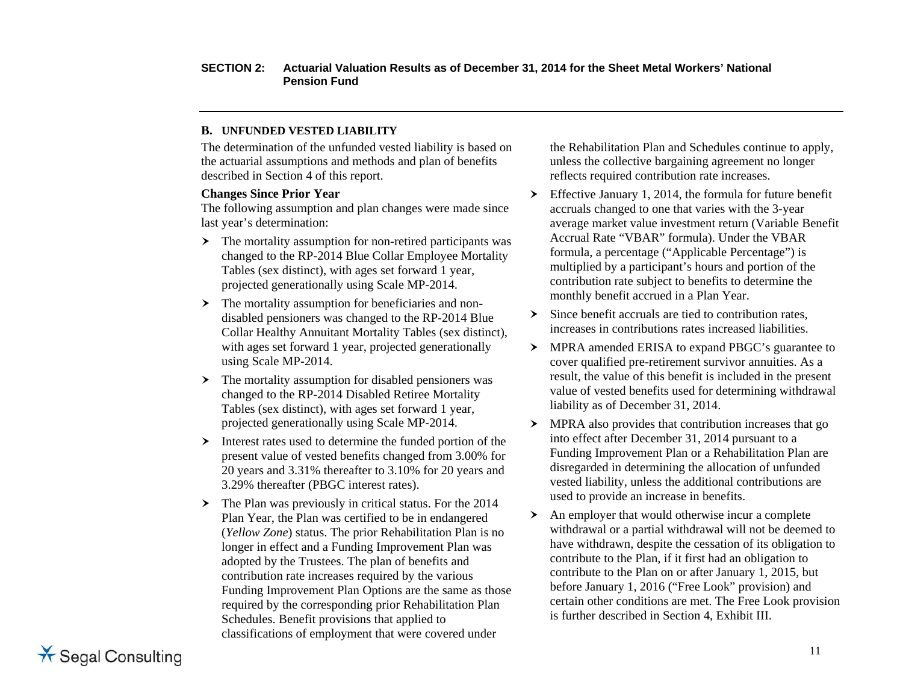#### **B. UNFUNDED VESTED LIABILITY**

The determination of the unfunded vested liability is based on the actuarial assumptions and methods and plan of benefits described in Section 4 of this report.

#### **Changes Since Prior Year**

The following assumption and plan changes were made since last year's determination:

- $\blacktriangleright$  The mortality assumption for non-retired participants was changed to the RP-2014 Blue Collar Employee Mortality Tables (sex distinct), with ages set forward 1 year, projected generationally using Scale MP-2014.
- $\triangleright$  The mortality assumption for beneficiaries and nondisabled pensioners was changed to the RP-2014 Blue Collar Healthy Annuitant Mortality Tables (sex distinct), with ages set forward 1 year, projected generationally using Scale MP-2014.
- The mortality assumption for disabled pensioners was changed to the RP-2014 Disabled Retiree Mortality Tables (sex distinct), with ages set forward 1 year, projected generationally using Scale MP-2014.
- $\blacktriangleright$  Interest rates used to determine the funded portion of the present value of vested benefits changed from 3.00% for 20 years and 3.31% thereafter to 3.10% for 20 years and 3.29% thereafter (PBGC interest rates).
- $\blacktriangleright$  The Plan was previously in critical status. For the 2014 Plan Year, the Plan was certified to be in endangered (*Yellow Zone*) status. The prior Rehabilitation Plan is no longer in effect and a Funding Improvement Plan was adopted by the Trustees. The plan of benefits and contribution rate increases required by the various Funding Improvement Plan Options are the same as those required by the corresponding prior Rehabilitation Plan Schedules. Benefit provisions that applied to classifications of employment that were covered under

the Rehabilitation Plan and Schedules continue to apply, unless the collective bargaining agreement no longer reflects required contribution rate increases.

- $\sum$  Effective January 1, 2014, the formula for future benefit accruals changed to one that varies with the 3-year average market value investment return (Variable Benefit Accrual Rate "VBAR" formula). Under the VBAR formula, a percentage ("Applicable Percentage") is multiplied by a participant's hours and portion of the contribution rate subject to benefits to determine the monthly benefit accrued in a Plan Year.
- $\blacktriangleright$  Since benefit accruals are tied to contribution rates, increases in contributions rates increased liabilities.
- > MPRA amended ERISA to expand PBGC's guarantee to cover qualified pre-retirement survivor annuities. As a result, the value of this benefit is included in the present value of vested benefits used for determining withdrawal liability as of December 31, 2014.
- MPRA also provides that contribution increases that go into effect after December 31, 2014 pursuant to a Funding Improvement Plan or a Rehabilitation Plan are disregarded in determining the allocation of unfunded vested liability, unless the additional contributions are used to provide an increase in benefits.
- An employer that would otherwise incur a complete withdrawal or a partial withdrawal will not be deemed to have withdrawn, despite the cessation of its obligation to contribute to the Plan, if it first had an obligation to contribute to the Plan on or after January 1, 2015, but before January 1, 2016 ("Free Look" provision) and certain other conditions are met. The Free Look provision is further described in Section 4, Exhibit III.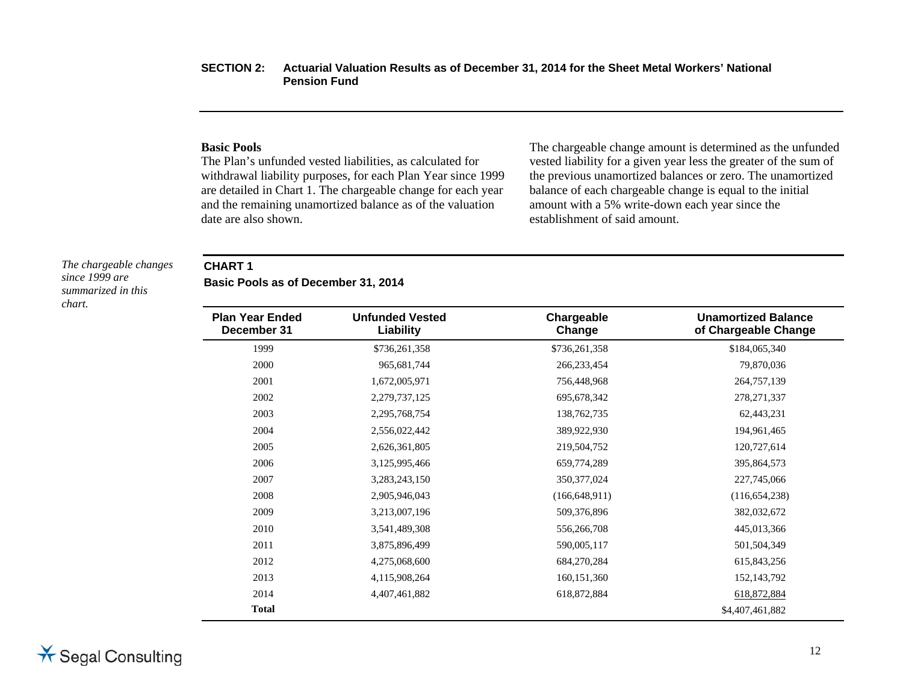#### **Basic Pools**

The Plan's unfunded vested liabilities, as calculated for withdrawal liability purposes, for each Plan Year since 1999 are detailed in Chart 1. The chargeable change for each year and the remaining unamortized balance as of the valuation date are also shown.

The chargeable change amount is determined as the unfunded vested liability for a given year less the greater of the sum of the previous unamortized balances or zero. The unamortized balance of each chargeable change is equal to the initial amount with a 5% write-down each year since the establishment of said amount.

*The chargeable changes since 1999 are summarized in this chart.* 

#### **CHART 1**

 $\overline{\phantom{0}}$ 

**Basic Pools as of December 31, 2014** 

| <b>Plan Year Ended</b><br>December 31 | <b>Unfunded Vested</b><br>Liability | Chargeable<br>Change | <b>Unamortized Balance</b><br>of Chargeable Change |
|---------------------------------------|-------------------------------------|----------------------|----------------------------------------------------|
| 1999                                  | \$736,261,358                       | \$736,261,358        | \$184,065,340                                      |
| 2000                                  | 965,681,744                         | 266, 233, 454        | 79,870,036                                         |
| 2001                                  | 1,672,005,971                       | 756,448,968          | 264,757,139                                        |
| 2002                                  | 2,279,737,125                       | 695, 678, 342        | 278, 271, 337                                      |
| 2003                                  | 2,295,768,754                       | 138,762,735          | 62,443,231                                         |
| 2004                                  | 2,556,022,442                       | 389,922,930          | 194,961,465                                        |
| 2005                                  | 2,626,361,805                       | 219,504,752          | 120,727,614                                        |
| 2006                                  | 3,125,995,466                       | 659,774,289          | 395,864,573                                        |
| 2007                                  | 3,283,243,150                       | 350, 377, 024        | 227,745,066                                        |
| 2008                                  | 2,905,946,043                       | (166, 648, 911)      | (116, 654, 238)                                    |
| 2009                                  | 3,213,007,196                       | 509,376,896          | 382,032,672                                        |
| 2010                                  | 3,541,489,308                       | 556,266,708          | 445,013,366                                        |
| 2011                                  | 3,875,896,499                       | 590,005,117          | 501,504,349                                        |
| 2012                                  | 4,275,068,600                       | 684,270,284          | 615,843,256                                        |
| 2013                                  | 4,115,908,264                       | 160, 151, 360        | 152, 143, 792                                      |
| 2014                                  | 4,407,461,882                       | 618,872,884          | 618,872,884                                        |
| <b>Total</b>                          |                                     |                      | \$4,407,461,882                                    |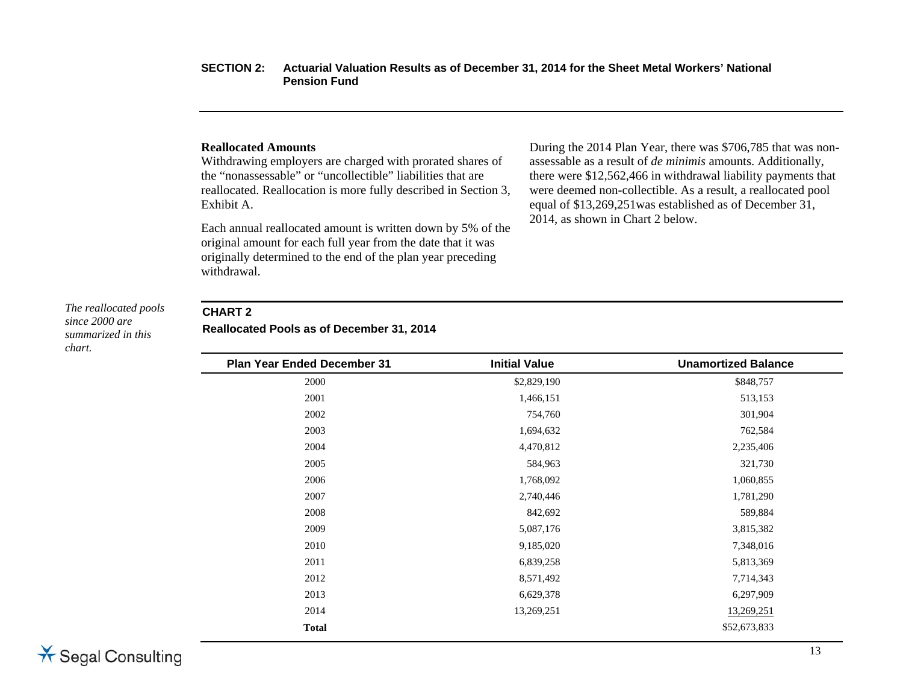#### **Reallocated Amounts**

Withdrawing employers are charged with prorated shares of the "nonassessable" or "uncollectible" liabilities that are reallocated. Reallocation is more fully described in Section 3, Exhibit A.

Each annual reallocated amount is written down by 5% of the original amount for each full year from the date that it was originally determined to the end of the plan year preceding withdrawal.

During the 2014 Plan Year, there was \$706,785 that was nonassessable as a result of *de minimis* amounts. Additionally, there were \$12,562,466 in withdrawal liability payments that were deemed non-collectible. As a result, a reallocated pool equal of \$13,269,251was established as of December 31, 2014, as shown in Chart 2 below.

#### *The reallocated pools since 2000 are summarized in this chart.*

#### **CHART 2**

**Reallocated Pools as of December 31, 2014** 

| <b>Initial Value</b> | <b>Unamortized Balance</b> |
|----------------------|----------------------------|
| \$2,829,190          | \$848,757                  |
| 1,466,151            | 513,153                    |
| 754,760              | 301,904                    |
| 1,694,632            | 762,584                    |
| 4,470,812            | 2,235,406                  |
| 584,963              | 321,730                    |
| 1,768,092            | 1,060,855                  |
| 2,740,446            | 1,781,290                  |
| 842,692              | 589,884                    |
| 5,087,176            | 3,815,382                  |
| 9,185,020            | 7,348,016                  |
| 6,839,258            | 5,813,369                  |
| 8,571,492            | 7,714,343                  |
| 6,629,378            | 6,297,909                  |
| 13,269,251           | 13,269,251                 |
|                      | \$52,673,833               |
|                      |                            |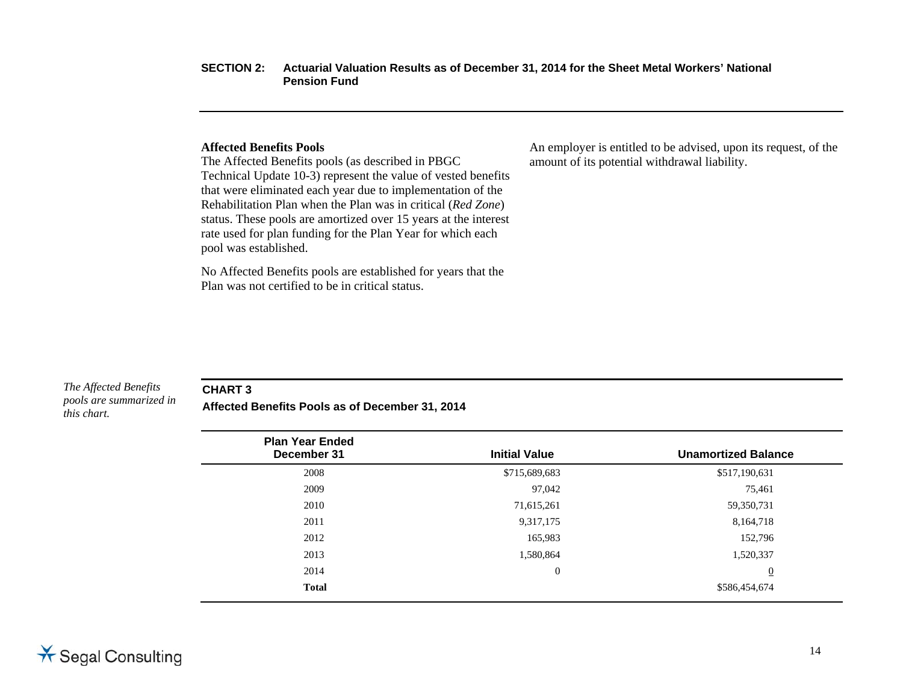#### **Affected Benefits Pools**

The Affected Benefits pools (as described in PBGC Technical Update 10-3) represent the value of vested benefits that were eliminated each year due to implementation of the Rehabilitation Plan when the Plan was in critical (*Red Zone*) status. These pools are amortized over 15 years at the interest rate used for plan funding for the Plan Year for which each pool was established.

No Affected Benefits pools are established for years that the Plan was not certified to be in critical status.

An employer is entitled to be advised, upon its request, of the amount of its potential withdrawal liability.

*The Affected Benefits pools are summarized in this chart.* 

**CHART 3** 

**Affected Benefits Pools as of December 31, 2014** 

| <b>Plan Year Ended</b> |                      |                            |
|------------------------|----------------------|----------------------------|
| December 31            | <b>Initial Value</b> | <b>Unamortized Balance</b> |
| 2008                   | \$715,689,683        | \$517,190,631              |
| 2009                   | 97,042               | 75,461                     |
| 2010                   | 71,615,261           | 59,350,731                 |
| 2011                   | 9,317,175            | 8,164,718                  |
| 2012                   | 165,983              | 152,796                    |
| 2013                   | 1,580,864            | 1,520,337                  |
| 2014                   | $\overline{0}$       | $\overline{0}$             |
| <b>Total</b>           |                      | \$586,454,674              |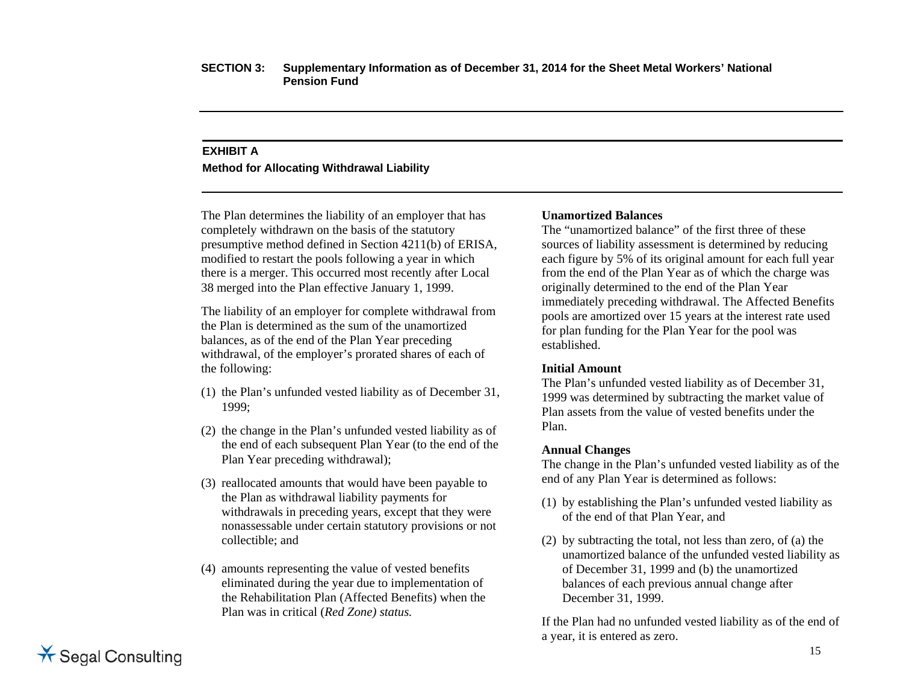# **EXHIBIT A Method for Allocating Withdrawal Liability**

The Plan determines the liability of an employer that has completely withdrawn on the basis of the statutory presumptive method defined in Section 4211(b) of ERISA, modified to restart the pools following a year in which there is a merger. This occurred most recently after Local 38 merged into the Plan effective January 1, 1999.

The liability of an employer for complete withdrawal from the Plan is determined as the sum of the unamortized balances, as of the end of the Plan Year preceding withdrawal, of the employer's prorated shares of each of the following:

- (1) the Plan's unfunded vested liability as of December 31, 1999;
- (2) the change in the Plan's unfunded vested liability as of the end of each subsequent Plan Year (to the end of the Plan Year preceding withdrawal);
- (3) reallocated amounts that would have been payable to the Plan as withdrawal liability payments for withdrawals in preceding years, except that they were nonassessable under certain statutory provisions or not collectible; and
- (4) amounts representing the value of vested benefits eliminated during the year due to implementation of the Rehabilitation Plan (Affected Benefits) when the Plan was in critical (*Red Zone) status.*

#### **Unamortized Balances**

The "unamortized balance" of the first three of these sources of liability assessment is determined by reducing each figure by 5% of its original amount for each full year from the end of the Plan Year as of which the charge was originally determined to the end of the Plan Year immediately preceding withdrawal. The Affected Benefits pools are amortized over 15 years at the interest rate used for plan funding for the Plan Year for the pool was established.

#### **Initial Amount**

The Plan's unfunded vested liability as of December 31, 1999 was determined by subtracting the market value of Plan assets from the value of vested benefits under the Plan.

#### **Annual Changes**

The change in the Plan's unfunded vested liability as of the end of any Plan Year is determined as follows:

- (1) by establishing the Plan's unfunded vested liability as of the end of that Plan Year, and
- (2) by subtracting the total, not less than zero, of (a) the unamortized balance of the unfunded vested liability as of December 31, 1999 and (b) the unamortized balances of each previous annual change after December 31, 1999.

If the Plan had no unfunded vested liability as of the end of a year, it is entered as zero.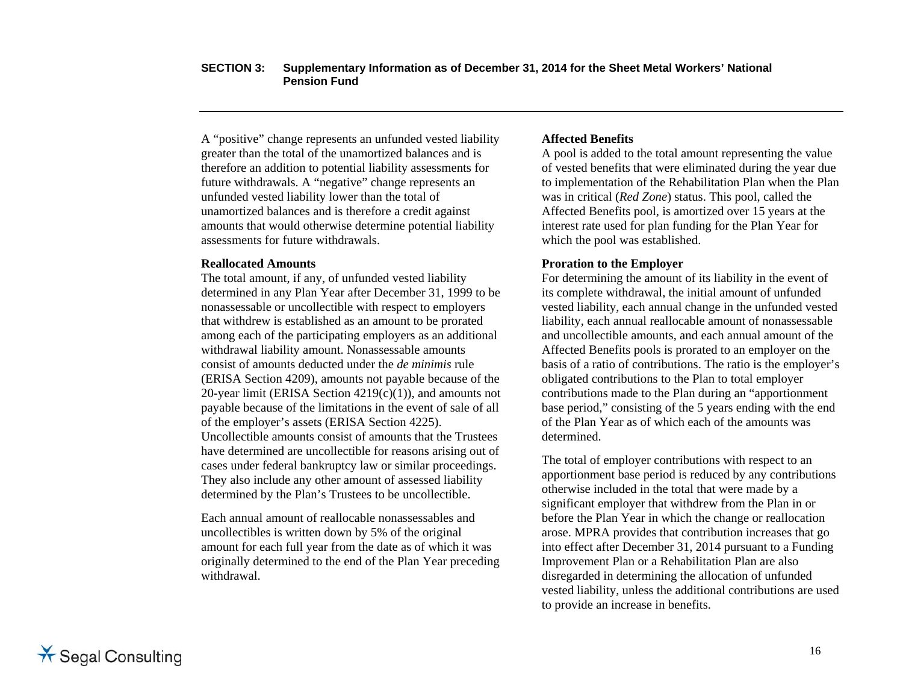A "positive" change represents an unfunded vested liability greater than the total of the unamortized balances and is therefore an addition to potential liability assessments for future withdrawals. A "negative" change represents an unfunded vested liability lower than the total of unamortized balances and is therefore a credit against amounts that would otherwise determine potential liability assessments for future withdrawals.

#### **Reallocated Amounts**

The total amount, if any, of unfunded vested liability determined in any Plan Year after December 31, 1999 to be nonassessable or uncollectible with respect to employers that withdrew is established as an amount to be prorated among each of the participating employers as an additional withdrawal liability amount. Nonassessable amounts consist of amounts deducted under the *de minimis* rule (ERISA Section 4209), amounts not payable because of the 20-year limit (ERISA Section  $4219(c)(1)$ ), and amounts not payable because of the limitations in the event of sale of all of the employer's assets (ERISA Section 4225). Uncollectible amounts consist of amounts that the Trustees have determined are uncollectible for reasons arising out of cases under federal bankruptcy law or similar proceedings. They also include any other amount of assessed liability determined by the Plan's Trustees to be uncollectible.

Each annual amount of reallocable nonassessables and uncollectibles is written down by 5% of the original amount for each full year from the date as of which it was originally determined to the end of the Plan Year preceding withdrawal.

#### **Affected Benefits**

A pool is added to the total amount representing the value of vested benefits that were eliminated during the year due to implementation of the Rehabilitation Plan when the Plan was in critical (*Red Zone*) status. This pool, called the Affected Benefits pool, is amortized over 15 years at the interest rate used for plan funding for the Plan Year for which the pool was established.

#### **Proration to the Employer**

For determining the amount of its liability in the event of its complete withdrawal, the initial amount of unfunded vested liability, each annual change in the unfunded vested liability, each annual reallocable amount of nonassessable and uncollectible amounts, and each annual amount of the Affected Benefits pools is prorated to an employer on the basis of a ratio of contributions. The ratio is the employer's obligated contributions to the Plan to total employer contributions made to the Plan during an "apportionment base period," consisting of the 5 years ending with the end of the Plan Year as of which each of the amounts was determined.

The total of employer contributions with respect to an apportionment base period is reduced by any contributions otherwise included in the total that were made by a significant employer that withdrew from the Plan in or before the Plan Year in which the change or reallocation arose. MPRA provides that contribution increases that go into effect after December 31, 2014 pursuant to a Funding Improvement Plan or a Rehabilitation Plan are also disregarded in determining the allocation of unfunded vested liability, unless the additional contributions are used to provide an increase in benefits.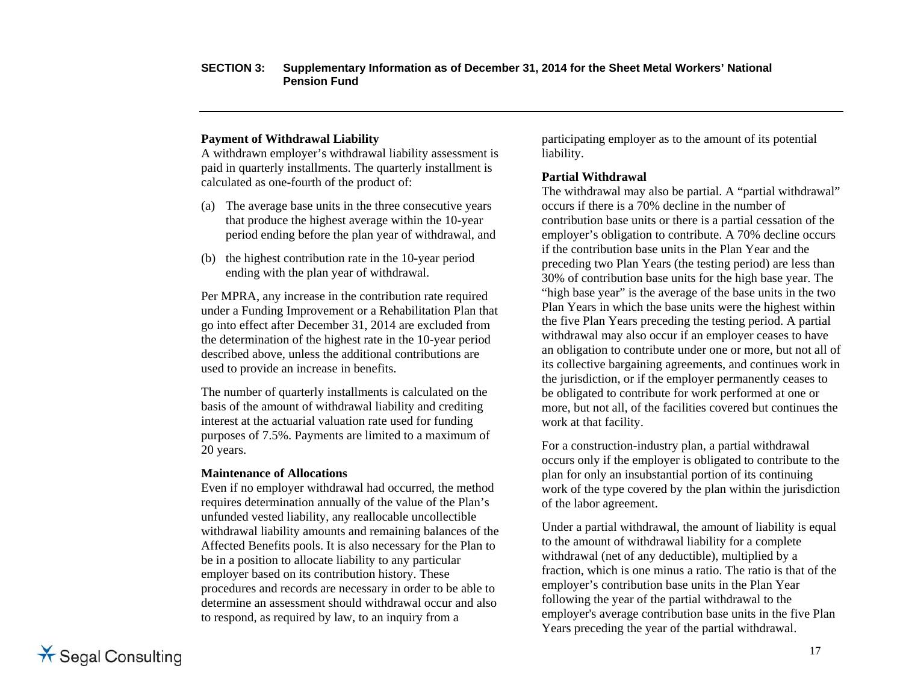#### **Payment of Withdrawal Liability**

A withdrawn employer's withdrawal liability assessment is paid in quarterly installments. The quarterly installment is calculated as one-fourth of the product of:

- (a) The average base units in the three consecutive years that produce the highest average within the 10-year period ending before the plan year of withdrawal, and
- (b) the highest contribution rate in the 10-year period ending with the plan year of withdrawal.

Per MPRA, any increase in the contribution rate required under a Funding Improvement or a Rehabilitation Plan that go into effect after December 31, 2014 are excluded from the determination of the highest rate in the 10-year period described above, unless the additional contributions are used to provide an increase in benefits.

The number of quarterly installments is calculated on the basis of the amount of withdrawal liability and crediting interest at the actuarial valuation rate used for funding purposes of 7.5%. Payments are limited to a maximum of 20 years.

#### **Maintenance of Allocations**

Even if no employer withdrawal had occurred, the method requires determination annually of the value of the Plan's unfunded vested liability, any reallocable uncollectible withdrawal liability amounts and remaining balances of the Affected Benefits pools. It is also necessary for the Plan to be in a position to allocate liability to any particular employer based on its contribution history. These procedures and records are necessary in order to be able to determine an assessment should withdrawal occur and also to respond, as required by law, to an inquiry from a

participating employer as to the amount of its potential liability.

#### **Partial Withdrawal**

The withdrawal may also be partial. A "partial withdrawal" occurs if there is a 70% decline in the number of contribution base units or there is a partial cessation of the employer's obligation to contribute. A 70% decline occurs if the contribution base units in the Plan Year and the preceding two Plan Years (the testing period) are less than 30% of contribution base units for the high base year. The "high base year" is the average of the base units in the two Plan Years in which the base units were the highest within the five Plan Years preceding the testing period. A partial withdrawal may also occur if an employer ceases to have an obligation to contribute under one or more, but not all of its collective bargaining agreements, and continues work in the jurisdiction, or if the employer permanently ceases to be obligated to contribute for work performed at one or more, but not all, of the facilities covered but continues the work at that facility.

For a construction-industry plan, a partial withdrawal occurs only if the employer is obligated to contribute to the plan for only an insubstantial portion of its continuing work of the type covered by the plan within the jurisdiction of the labor agreement.

Under a partial withdrawal, the amount of liability is equal to the amount of withdrawal liability for a complete withdrawal (net of any deductible), multiplied by a fraction, which is one minus a ratio. The ratio is that of the employer's contribution base units in the Plan Year following the year of the partial withdrawal to the employer's average contribution base units in the five Plan Years preceding the year of the partial withdrawal.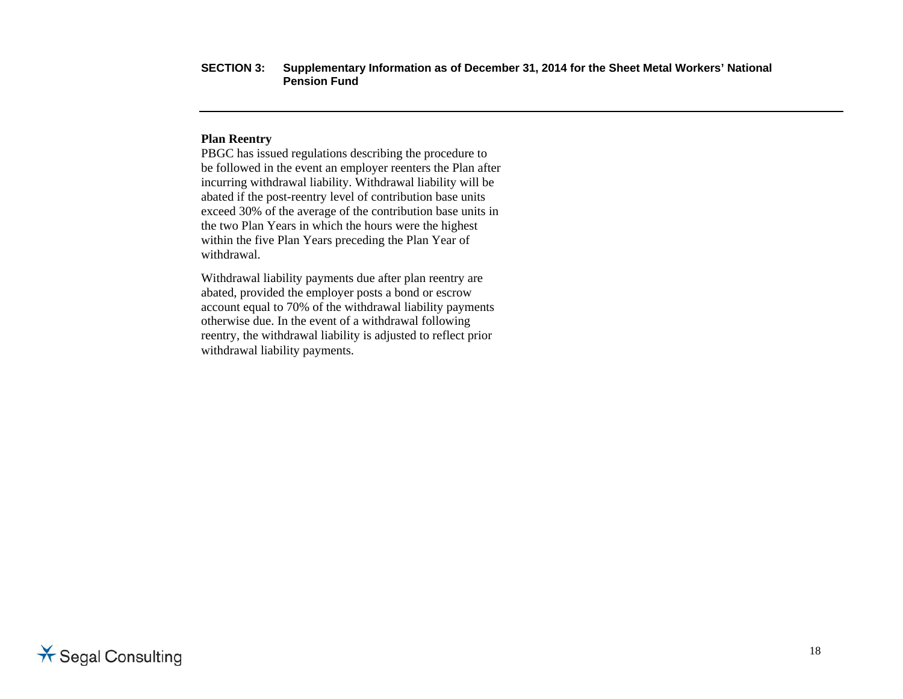#### **Plan Reentry**

PBGC has issued regulations describing the procedure to be followed in the event an employer reenters the Plan after incurring withdrawal liability. Withdrawal liability will be abated if the post-reentry level of contribution base units exceed 30% of the average of the contribution base units in the two Plan Years in which the hours were the highest within the five Plan Years preceding the Plan Year of withdrawal.

Withdrawal liability payments due after plan reentry are abated, provided the employer posts a bond or escrow account equal to 70% of the withdrawal liability payments otherwise due. In the event of a withdrawal following reentry, the withdrawal liability is adjusted to reflect prior withdrawal liability payments.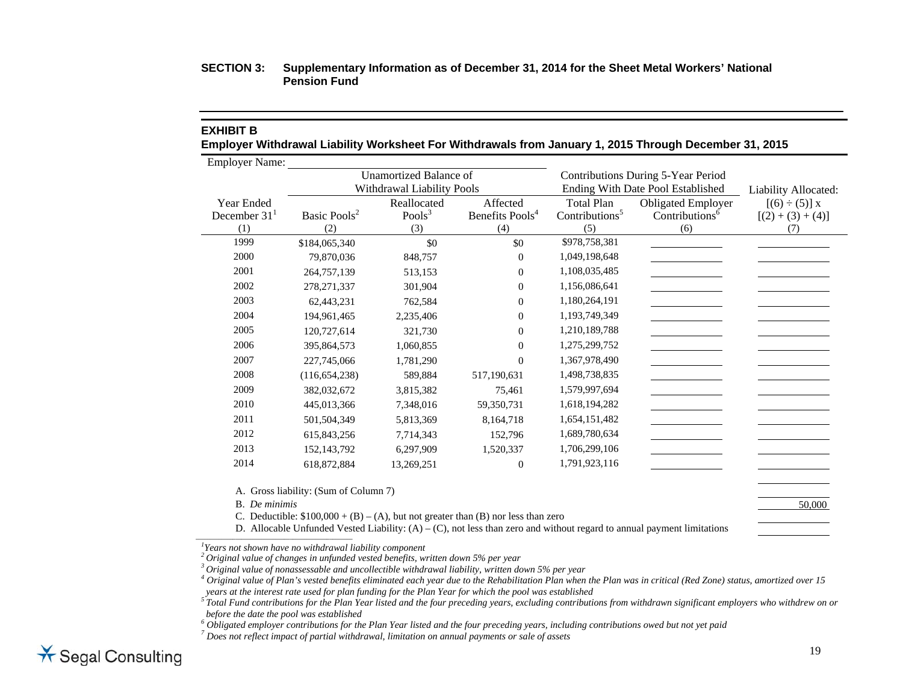#### **EXHIBIT B**

**Employer Withdrawal Liability Worksheet For Withdrawals from January 1, 2015 Through December 31, 2015** 

Employer Name:

|                                     | <b>Unamortized Balance of</b><br>Withdrawal Liability Pools |                                 |                                                |                                                        | Contributions During 5-Year Period<br>Ending With Date Pool Established | Liability Allocated:                             |
|-------------------------------------|-------------------------------------------------------------|---------------------------------|------------------------------------------------|--------------------------------------------------------|-------------------------------------------------------------------------|--------------------------------------------------|
| Year Ended<br>December $311$<br>(1) | Basic Pools <sup>2</sup><br>(2)                             | Reallocated<br>Pools $3$<br>(3) | Affected<br>Benefits Pools <sup>4</sup><br>(4) | <b>Total Plan</b><br>Contributions <sup>5</sup><br>(5) | <b>Obligated Employer</b><br>Contributions <sup>6</sup><br>(6)          | $[(6) \div (5)] x$<br>$[(2) + (3) + (4)]$<br>(7) |
| 1999                                | \$184,065,340                                               | \$0                             | \$0                                            | \$978,758,381                                          |                                                                         |                                                  |
| 2000                                | 79,870,036                                                  | 848,757                         | $\Omega$                                       | 1,049,198,648                                          |                                                                         |                                                  |
| 2001                                | 264,757,139                                                 | 513,153                         | $\Omega$                                       | 1,108,035,485                                          |                                                                         |                                                  |
| 2002                                | 278, 271, 337                                               | 301,904                         | $\Omega$                                       | 1,156,086,641                                          |                                                                         |                                                  |
| 2003                                | 62,443,231                                                  | 762,584                         | $\overline{0}$                                 | 1,180,264,191                                          |                                                                         |                                                  |
| 2004                                | 194,961,465                                                 | 2,235,406                       | $\Omega$                                       | 1,193,749,349                                          |                                                                         |                                                  |
| 2005                                | 120,727,614                                                 | 321,730                         | $\mathbf{0}$                                   | 1,210,189,788                                          |                                                                         |                                                  |
| 2006                                | 395,864,573                                                 | 1,060,855                       | $\Omega$                                       | 1,275,299,752                                          |                                                                         |                                                  |
| 2007                                | 227,745,066                                                 | 1,781,290                       | $\Omega$                                       | 1,367,978,490                                          |                                                                         |                                                  |
| 2008                                | (116, 654, 238)                                             | 589,884                         | 517,190,631                                    | 1,498,738,835                                          |                                                                         |                                                  |
| 2009                                | 382,032,672                                                 | 3,815,382                       | 75,461                                         | 1,579,997,694                                          |                                                                         |                                                  |
| 2010                                | 445,013,366                                                 | 7,348,016                       | 59,350,731                                     | 1,618,194,282                                          |                                                                         |                                                  |
| 2011                                | 501,504,349                                                 | 5,813,369                       | 8,164,718                                      | 1,654,151,482                                          |                                                                         |                                                  |
| 2012                                | 615,843,256                                                 | 7,714,343                       | 152,796                                        | 1,689,780,634                                          |                                                                         |                                                  |
| 2013                                | 152, 143, 792                                               | 6,297,909                       | 1,520,337                                      | 1,706,299,106                                          |                                                                         |                                                  |
| 2014                                | 618,872,884                                                 | 13,269,251                      | $\mathbf{0}$                                   | 1,791,923,116                                          |                                                                         |                                                  |
|                                     |                                                             |                                 |                                                |                                                        |                                                                         |                                                  |

A. Gross liability: (Sum of Column 7)

B. *De minimis* 50,000

C. Deductible:  $$100,000 + (B) - (A)$ , but not greater than (B) nor less than zero

D. Allocable Unfunded Vested Liability:  $(A) - (C)$ , not less than zero and without regard to annual payment limitations

*1Years not shown have no withdrawal liability component* 

*2 Original value of changes in unfunded vested benefits, written down 5% per year* 

 $^4$  Original value of Plan's vested benefits eliminated each year due to the Rehabilitation Plan when the Plan was in critical (Red Zone) status, amortized over 15 *years at the interest rate used for plan funding for the Plan Year for which the pool was established* 

*5 Total Fund contributions for the Plan Year listed and the four preceding years, excluding contributions from withdrawn significant employers who withdrew on or before the date the pool was established* 

 $^6$  Obligated employer contributions for the Plan Year listed and the four preceding years, including contributions owed but not yet paid  $^7$  Does not reflect impact of partial withdrawal, limitation on annual payments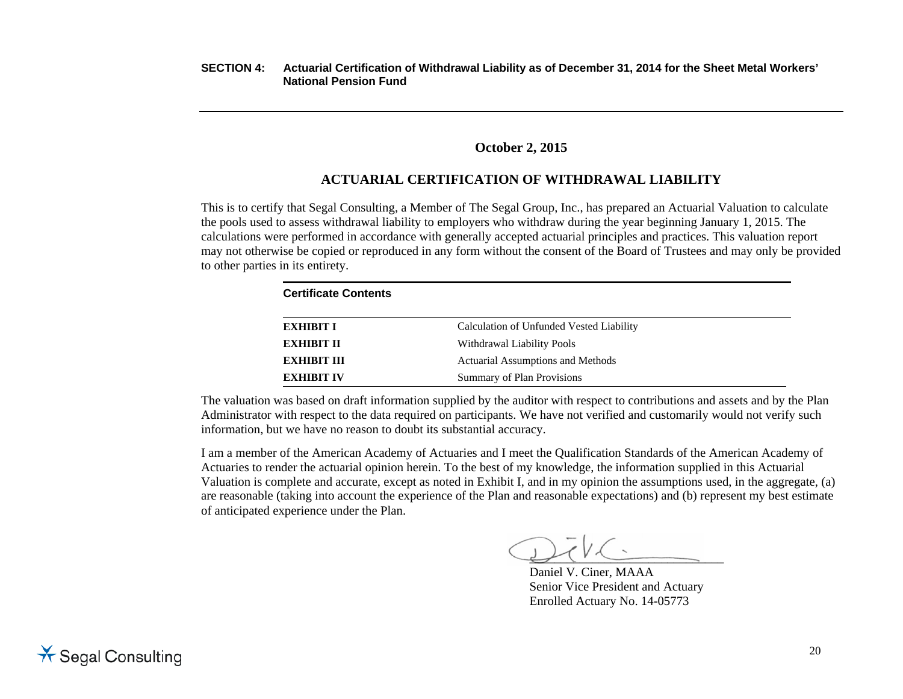# **October 2, 2015**

# **ACTUARIAL CERTIFICATION OF WITHDRAWAL LIABILITY**

This is to certify that Segal Consulting, a Member of The Segal Group, Inc., has prepared an Actuarial Valuation to calculate the pools used to assess withdrawal liability to employers who withdraw during the year beginning January 1, 2015. The calculations were performed in accordance with generally accepted actuarial principles and practices. This valuation report may not otherwise be copied or reproduced in any form without the consent of the Board of Trustees and may only be provided to other parties in its entirety.

| <b>Certificate Contents</b> |                                          |  |
|-----------------------------|------------------------------------------|--|
| <b>EXHIBIT I</b>            | Calculation of Unfunded Vested Liability |  |
| <b>EXHIBIT II</b>           | Withdrawal Liability Pools               |  |
| <b>EXHIBIT III</b>          | Actuarial Assumptions and Methods        |  |
| <b>EXHIBIT IV</b>           | Summary of Plan Provisions               |  |

The valuation was based on draft information supplied by the auditor with respect to contributions and assets and by the Plan Administrator with respect to the data required on participants. We have not verified and customarily would not verify such information, but we have no reason to doubt its substantial accuracy.

I am a member of the American Academy of Actuaries and I meet the Qualification Standards of the American Academy of Actuaries to render the actuarial opinion herein. To the best of my knowledge, the information supplied in this Actuarial Valuation is complete and accurate, except as noted in Exhibit I, and in my opinion the assumptions used, in the aggregate, (a) are reasonable (taking into account the experience of the Plan and reasonable expectations) and (b) represent my best estimate of anticipated experience under the Plan.

 $\overline{\phantom{a}}$  , which is a set of the set of the set of the set of the set of the set of the set of the set of the set of the set of the set of the set of the set of the set of the set of the set of the set of the set of th

Daniel V. Ciner, MAAA Senior Vice President and Actuary Enrolled Actuary No. 14-05773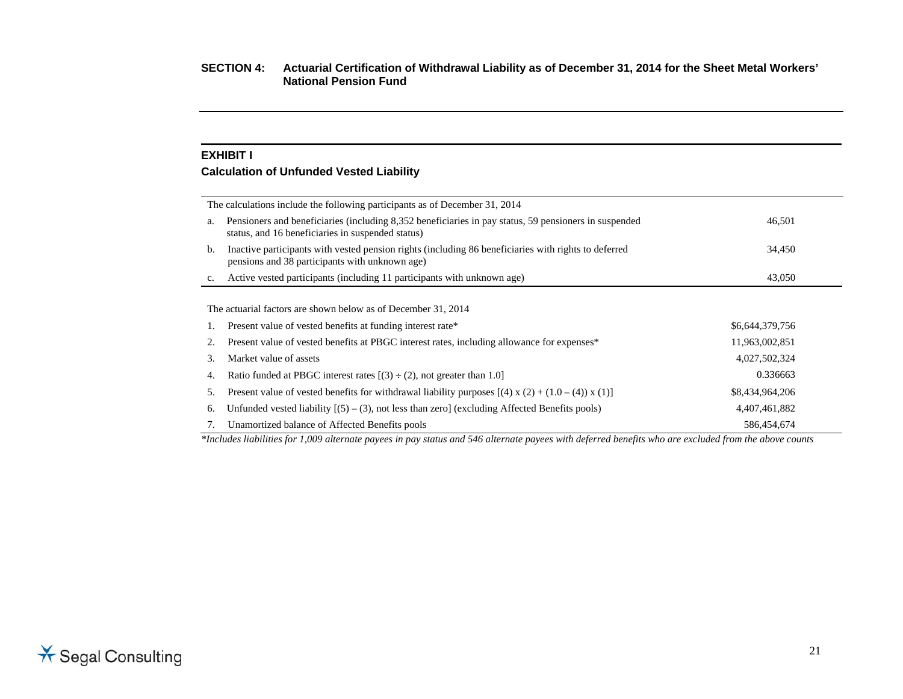#### **EXHIBIT I**

#### **Calculation of Unfunded Vested Liability**

|    | The calculations include the following participants as of December 31, 2014                                                                                |                 |  |
|----|------------------------------------------------------------------------------------------------------------------------------------------------------------|-----------------|--|
| a. | Pensioners and beneficiaries (including 8,352 beneficiaries in pay status, 59 pensioners in suspended<br>status, and 16 beneficiaries in suspended status) | 46,501          |  |
| b. | Inactive participants with vested pension rights (including 86 beneficiaries with rights to deferred<br>pensions and 38 participants with unknown age)     | 34,450          |  |
| c. | Active vested participants (including 11 participants with unknown age)                                                                                    | 43,050          |  |
|    |                                                                                                                                                            |                 |  |
|    | The actuarial factors are shown below as of December 31, 2014                                                                                              |                 |  |
| 1. | Present value of vested benefits at funding interest rate*                                                                                                 | \$6,644,379,756 |  |
| 2. | Present value of vested benefits at PBGC interest rates, including allowance for expenses*                                                                 | 11,963,002,851  |  |
| 3. | Market value of assets                                                                                                                                     | 4,027,502,324   |  |
| 4. | Ratio funded at PBGC interest rates $[(3) \div (2)$ , not greater than 1.0]                                                                                | 0.336663        |  |
| 5. | Present value of vested benefits for withdrawal liability purposes $[(4) \times (2) + (1.0 - (4)) \times (1)]$                                             | \$8,434,964,206 |  |
| 6. | Unfunded vested liability $(5) - (3)$ , not less than zero] (excluding Affected Benefits pools)                                                            | 4,407,461,882   |  |
|    | Unamortized balance of Affected Benefits pools                                                                                                             | 586,454,674     |  |

*\*Includes liabilities for 1,009 alternate payees in pay status and 546 alternate payees with deferred benefits who are excluded from the above counts*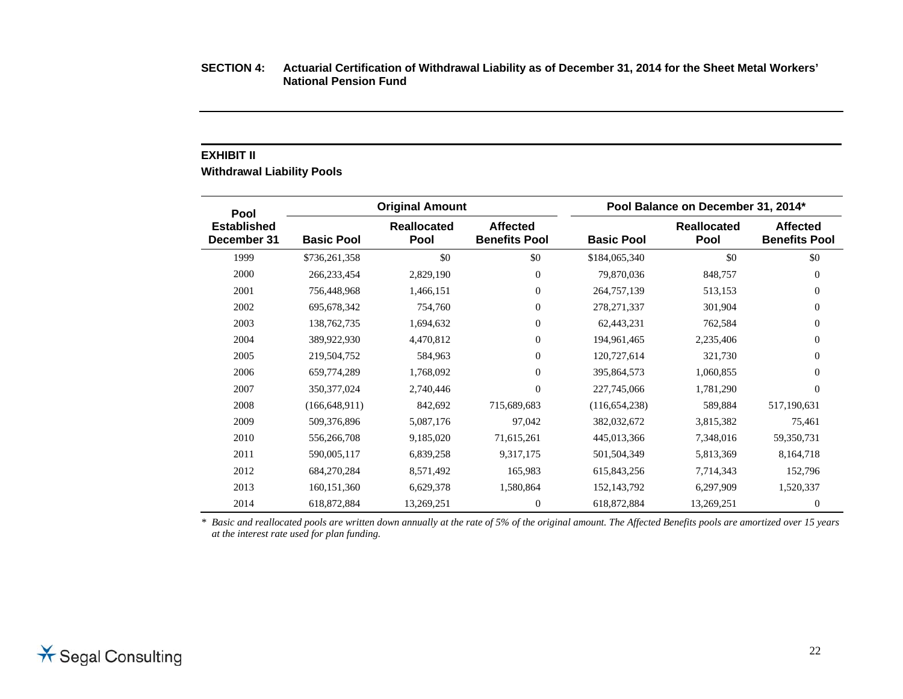#### **EXHIBIT II**

**Withdrawal Liability Pools** 

| Pool                              |                   | <b>Original Amount</b>     |                                         |                   | Pool Balance on December 31, 2014* |                                         |
|-----------------------------------|-------------------|----------------------------|-----------------------------------------|-------------------|------------------------------------|-----------------------------------------|
| <b>Established</b><br>December 31 | <b>Basic Pool</b> | <b>Reallocated</b><br>Pool | <b>Affected</b><br><b>Benefits Pool</b> | <b>Basic Pool</b> | <b>Reallocated</b><br>Pool         | <b>Affected</b><br><b>Benefits Pool</b> |
| 1999                              | \$736,261,358     | \$0                        | \$0                                     | \$184,065,340     | \$0                                | \$0                                     |
| 2000                              | 266,233,454       | 2,829,190                  | $\overline{0}$                          | 79,870,036        | 848,757                            | $\mathbf{0}$                            |
| 2001                              | 756,448,968       | 1,466,151                  | $\theta$                                | 264,757,139       | 513,153                            | $\mathbf{0}$                            |
| 2002                              | 695, 678, 342     | 754,760                    | $\overline{0}$                          | 278, 271, 337     | 301,904                            | $\mathbf{0}$                            |
| 2003                              | 138,762,735       | 1,694,632                  | $\overline{0}$                          | 62,443,231        | 762,584                            | $\mathbf{0}$                            |
| 2004                              | 389,922,930       | 4,470,812                  | $\overline{0}$                          | 194,961,465       | 2,235,406                          | $\mathbf{0}$                            |
| 2005                              | 219,504,752       | 584,963                    | $\overline{0}$                          | 120,727,614       | 321,730                            | $\mathbf{0}$                            |
| 2006                              | 659,774,289       | 1,768,092                  | $\overline{0}$                          | 395,864,573       | 1,060,855                          | $\mathbf{0}$                            |
| 2007                              | 350, 377, 024     | 2,740,446                  | $\theta$                                | 227,745,066       | 1,781,290                          | $\mathbf{0}$                            |
| 2008                              | (166, 648, 911)   | 842,692                    | 715,689,683                             | (116, 654, 238)   | 589,884                            | 517,190,631                             |
| 2009                              | 509,376,896       | 5,087,176                  | 97,042                                  | 382,032,672       | 3,815,382                          | 75,461                                  |
| 2010                              | 556,266,708       | 9,185,020                  | 71,615,261                              | 445,013,366       | 7,348,016                          | 59,350,731                              |
| 2011                              | 590,005,117       | 6,839,258                  | 9,317,175                               | 501,504,349       | 5,813,369                          | 8,164,718                               |
| 2012                              | 684,270,284       | 8,571,492                  | 165,983                                 | 615,843,256       | 7,714,343                          | 152,796                                 |
| 2013                              | 160, 151, 360     | 6,629,378                  | 1,580,864                               | 152, 143, 792     | 6,297,909                          | 1,520,337                               |
| 2014                              | 618,872,884       | 13,269,251                 | $\mathbf{0}$                            | 618,872,884       | 13,269,251                         | $\theta$                                |

*\* Basic and reallocated pools are written down annually at the rate of 5% of the original amount. The Affected Benefits pools are amortized over 15 years at the interest rate used for plan funding.*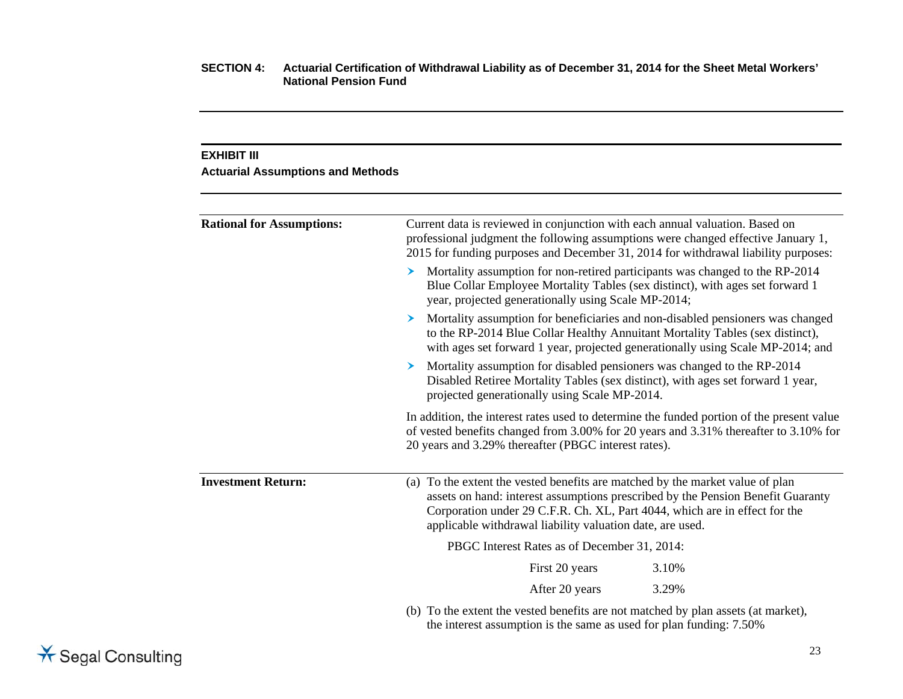#### **EXHIBIT III**

#### **Actuarial Assumptions and Methods**

| <b>Rational for Assumptions:</b> | Current data is reviewed in conjunction with each annual valuation. Based on<br>professional judgment the following assumptions were changed effective January 1,<br>2015 for funding purposes and December 31, 2014 for withdrawal liability purposes:                                                     |  |  |  |  |
|----------------------------------|-------------------------------------------------------------------------------------------------------------------------------------------------------------------------------------------------------------------------------------------------------------------------------------------------------------|--|--|--|--|
|                                  | Mortality assumption for non-retired participants was changed to the RP-2014<br>➤<br>Blue Collar Employee Mortality Tables (sex distinct), with ages set forward 1<br>year, projected generationally using Scale MP-2014;                                                                                   |  |  |  |  |
|                                  | Mortality assumption for beneficiaries and non-disabled pensioners was changed<br>➤<br>to the RP-2014 Blue Collar Healthy Annuitant Mortality Tables (sex distinct),<br>with ages set forward 1 year, projected generationally using Scale MP-2014; and                                                     |  |  |  |  |
|                                  | Mortality assumption for disabled pensioners was changed to the RP-2014<br>➤<br>Disabled Retiree Mortality Tables (sex distinct), with ages set forward 1 year,<br>projected generationally using Scale MP-2014.                                                                                            |  |  |  |  |
|                                  | In addition, the interest rates used to determine the funded portion of the present value<br>of vested benefits changed from 3.00% for 20 years and 3.31% thereafter to 3.10% for<br>20 years and 3.29% thereafter (PBGC interest rates).                                                                   |  |  |  |  |
| <b>Investment Return:</b>        | (a) To the extent the vested benefits are matched by the market value of plan<br>assets on hand: interest assumptions prescribed by the Pension Benefit Guaranty<br>Corporation under 29 C.F.R. Ch. XL, Part 4044, which are in effect for the<br>applicable withdrawal liability valuation date, are used. |  |  |  |  |
|                                  | PBGC Interest Rates as of December 31, 2014:                                                                                                                                                                                                                                                                |  |  |  |  |
|                                  | First 20 years<br>3.10%                                                                                                                                                                                                                                                                                     |  |  |  |  |
|                                  | After 20 years<br>3.29%                                                                                                                                                                                                                                                                                     |  |  |  |  |
|                                  | (b) To the extent the vested benefits are not matched by plan assets (at market),<br>the interest assumption is the same as used for plan funding: 7.50%                                                                                                                                                    |  |  |  |  |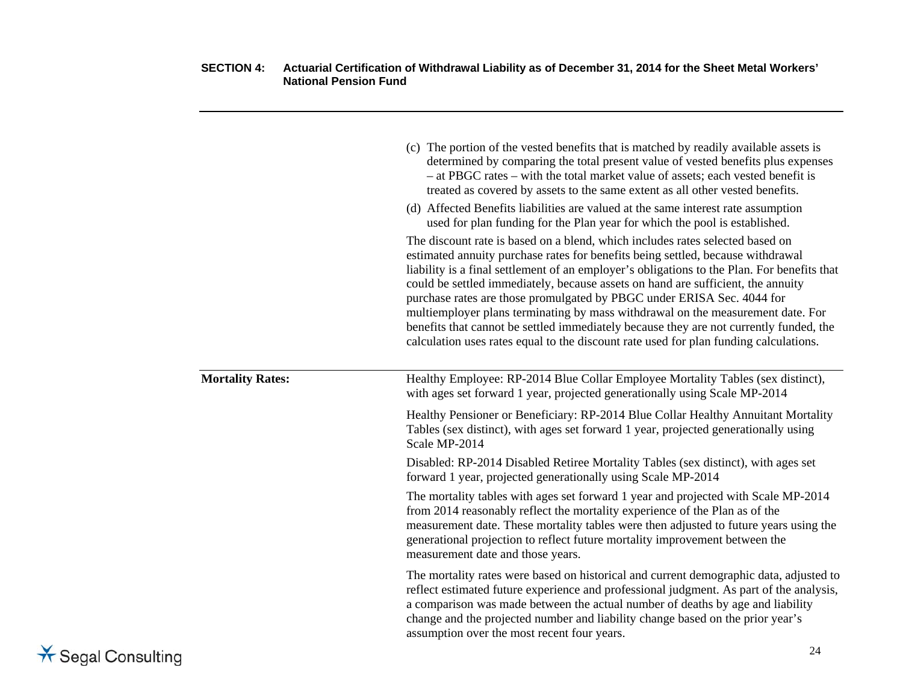|                         | (c) The portion of the vested benefits that is matched by readily available assets is<br>determined by comparing the total present value of vested benefits plus expenses<br>- at PBGC rates - with the total market value of assets; each vested benefit is<br>treated as covered by assets to the same extent as all other vested benefits.<br>(d) Affected Benefits liabilities are valued at the same interest rate assumption<br>used for plan funding for the Plan year for which the pool is established.<br>The discount rate is based on a blend, which includes rates selected based on<br>estimated annuity purchase rates for benefits being settled, because withdrawal<br>liability is a final settlement of an employer's obligations to the Plan. For benefits that<br>could be settled immediately, because assets on hand are sufficient, the annuity<br>purchase rates are those promulgated by PBGC under ERISA Sec. 4044 for<br>multiemployer plans terminating by mass withdrawal on the measurement date. For<br>benefits that cannot be settled immediately because they are not currently funded, the<br>calculation uses rates equal to the discount rate used for plan funding calculations. |
|-------------------------|-------------------------------------------------------------------------------------------------------------------------------------------------------------------------------------------------------------------------------------------------------------------------------------------------------------------------------------------------------------------------------------------------------------------------------------------------------------------------------------------------------------------------------------------------------------------------------------------------------------------------------------------------------------------------------------------------------------------------------------------------------------------------------------------------------------------------------------------------------------------------------------------------------------------------------------------------------------------------------------------------------------------------------------------------------------------------------------------------------------------------------------------------------------------------------------------------------------------------|
| <b>Mortality Rates:</b> | Healthy Employee: RP-2014 Blue Collar Employee Mortality Tables (sex distinct),<br>with ages set forward 1 year, projected generationally using Scale MP-2014                                                                                                                                                                                                                                                                                                                                                                                                                                                                                                                                                                                                                                                                                                                                                                                                                                                                                                                                                                                                                                                           |
|                         | Healthy Pensioner or Beneficiary: RP-2014 Blue Collar Healthy Annuitant Mortality<br>Tables (sex distinct), with ages set forward 1 year, projected generationally using<br>Scale MP-2014                                                                                                                                                                                                                                                                                                                                                                                                                                                                                                                                                                                                                                                                                                                                                                                                                                                                                                                                                                                                                               |
|                         | Disabled: RP-2014 Disabled Retiree Mortality Tables (sex distinct), with ages set<br>forward 1 year, projected generationally using Scale MP-2014                                                                                                                                                                                                                                                                                                                                                                                                                                                                                                                                                                                                                                                                                                                                                                                                                                                                                                                                                                                                                                                                       |
|                         | The mortality tables with ages set forward 1 year and projected with Scale MP-2014<br>from 2014 reasonably reflect the mortality experience of the Plan as of the<br>measurement date. These mortality tables were then adjusted to future years using the<br>generational projection to reflect future mortality improvement between the<br>measurement date and those years.                                                                                                                                                                                                                                                                                                                                                                                                                                                                                                                                                                                                                                                                                                                                                                                                                                          |
|                         | The mortality rates were based on historical and current demographic data, adjusted to<br>reflect estimated future experience and professional judgment. As part of the analysis,<br>a comparison was made between the actual number of deaths by age and liability<br>change and the projected number and liability change based on the prior year's<br>assumption over the most recent four years.                                                                                                                                                                                                                                                                                                                                                                                                                                                                                                                                                                                                                                                                                                                                                                                                                    |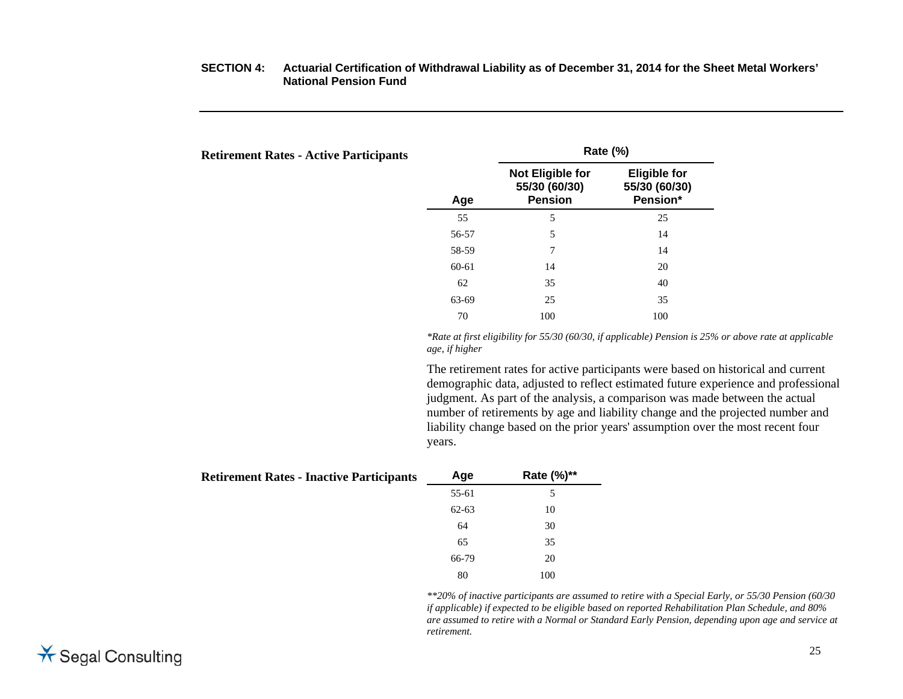# **Retirement Rates - Active Participants Rate (%)**

| letirement Rates - Active Participants |       |                                                            | $\sim$                                           |  |
|----------------------------------------|-------|------------------------------------------------------------|--------------------------------------------------|--|
|                                        | Age   | <b>Not Eligible for</b><br>55/30 (60/30)<br><b>Pension</b> | <b>Eligible for</b><br>55/30 (60/30)<br>Pension* |  |
|                                        | 55    | 5                                                          | 25                                               |  |
|                                        | 56-57 | 5                                                          | 14                                               |  |
|                                        | 58-59 | 7                                                          | 14                                               |  |
|                                        | 60-61 | 14                                                         | 20                                               |  |
|                                        | 62    | 35                                                         | 40                                               |  |
|                                        | 63-69 | 25                                                         | 35                                               |  |
|                                        | 70    | 100                                                        | 100                                              |  |

*\*Rate at first eligibility for 55/30 (60/30, if applicable) Pension is 25% or above rate at applicable age, if higher* 

The retirement rates for active participants were based on historical and current demographic data, adjusted to reflect estimated future experience and professional judgment. As part of the analysis, a comparison was made between the actual number of retirements by age and liability change and the projected number and liability change based on the prior years' assumption over the most recent four years.

| <b>Retirement Rates - Inactive Participants</b> | Age       | Rate (%)** |
|-------------------------------------------------|-----------|------------|
|                                                 | 55-61     | 5          |
|                                                 | $62 - 63$ | 10         |
|                                                 | 64        | 30         |
|                                                 | 65        | 35         |
|                                                 | 66-79     | 20         |
|                                                 | 80        | 100        |

*\*\*20% of inactive participants are assumed to retire with a Special Early, or 55/30 Pension (60/30 if applicable) if expected to be eligible based on reported Rehabilitation Plan Schedule, and 80% are assumed to retire with a Normal or Standard Early Pension, depending upon age and service at retirement.*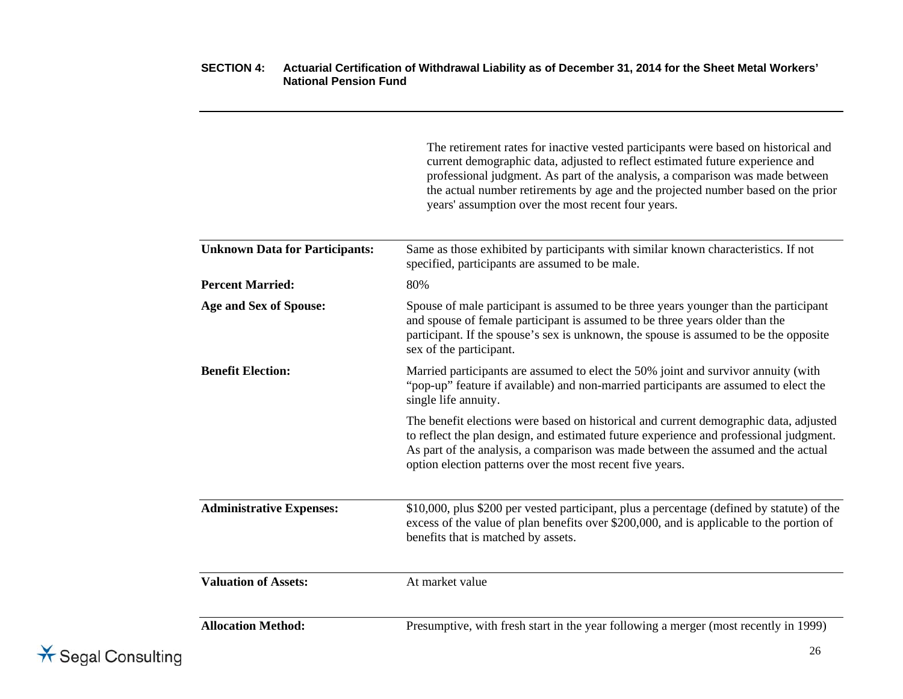|                                       | The retirement rates for inactive vested participants were based on historical and<br>current demographic data, adjusted to reflect estimated future experience and<br>professional judgment. As part of the analysis, a comparison was made between<br>the actual number retirements by age and the projected number based on the prior<br>years' assumption over the most recent four years. |
|---------------------------------------|------------------------------------------------------------------------------------------------------------------------------------------------------------------------------------------------------------------------------------------------------------------------------------------------------------------------------------------------------------------------------------------------|
| <b>Unknown Data for Participants:</b> | Same as those exhibited by participants with similar known characteristics. If not<br>specified, participants are assumed to be male.                                                                                                                                                                                                                                                          |
| <b>Percent Married:</b>               | 80%                                                                                                                                                                                                                                                                                                                                                                                            |
| <b>Age and Sex of Spouse:</b>         | Spouse of male participant is assumed to be three years younger than the participant<br>and spouse of female participant is assumed to be three years older than the<br>participant. If the spouse's sex is unknown, the spouse is assumed to be the opposite<br>sex of the participant.                                                                                                       |
| <b>Benefit Election:</b>              | Married participants are assumed to elect the 50% joint and survivor annuity (with<br>"pop-up" feature if available) and non-married participants are assumed to elect the<br>single life annuity.                                                                                                                                                                                             |
|                                       | The benefit elections were based on historical and current demographic data, adjusted<br>to reflect the plan design, and estimated future experience and professional judgment.<br>As part of the analysis, a comparison was made between the assumed and the actual<br>option election patterns over the most recent five years.                                                              |
| <b>Administrative Expenses:</b>       | \$10,000, plus \$200 per vested participant, plus a percentage (defined by statute) of the<br>excess of the value of plan benefits over \$200,000, and is applicable to the portion of<br>benefits that is matched by assets.                                                                                                                                                                  |
| <b>Valuation of Assets:</b>           | At market value                                                                                                                                                                                                                                                                                                                                                                                |
| <b>Allocation Method:</b>             | Presumptive, with fresh start in the year following a merger (most recently in 1999)                                                                                                                                                                                                                                                                                                           |

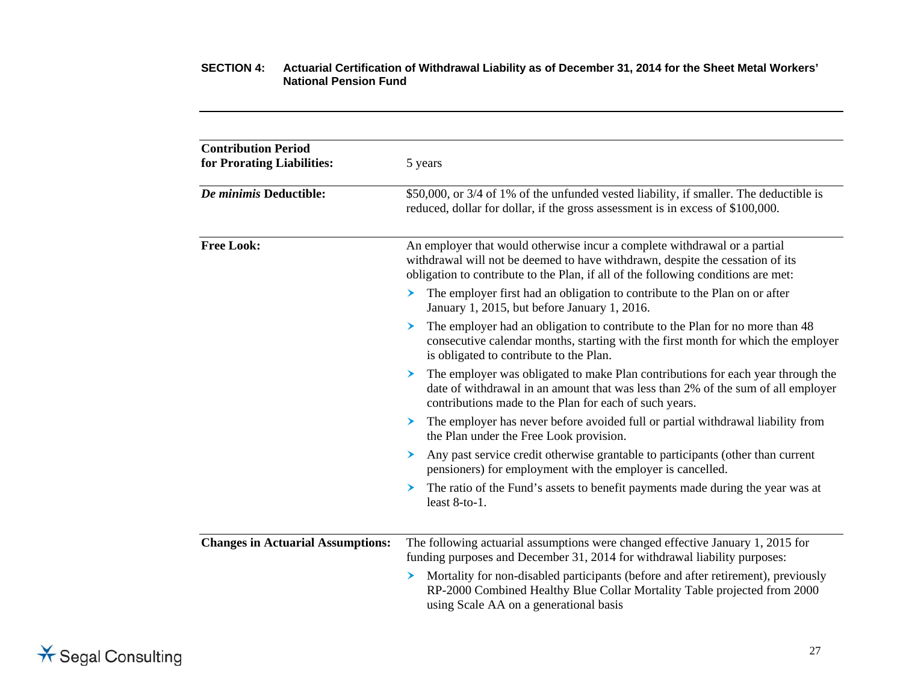| <b>Contribution Period</b><br>for Prorating Liabilities: | 5 years                                                                                                                                                                                                                                         |
|----------------------------------------------------------|-------------------------------------------------------------------------------------------------------------------------------------------------------------------------------------------------------------------------------------------------|
| De minimis Deductible:                                   | \$50,000, or 3/4 of 1% of the unfunded vested liability, if smaller. The deductible is<br>reduced, dollar for dollar, if the gross assessment is in excess of \$100,000.                                                                        |
| <b>Free Look:</b>                                        | An employer that would otherwise incur a complete withdrawal or a partial<br>withdrawal will not be deemed to have withdrawn, despite the cessation of its<br>obligation to contribute to the Plan, if all of the following conditions are met: |
|                                                          | The employer first had an obligation to contribute to the Plan on or after<br>▸<br>January 1, 2015, but before January 1, 2016.                                                                                                                 |
|                                                          | The employer had an obligation to contribute to the Plan for no more than 48<br>consecutive calendar months, starting with the first month for which the employer<br>is obligated to contribute to the Plan.                                    |
|                                                          | The employer was obligated to make Plan contributions for each year through the<br>➤<br>date of withdrawal in an amount that was less than 2% of the sum of all employer<br>contributions made to the Plan for each of such years.              |
|                                                          | The employer has never before avoided full or partial withdrawal liability from<br>➤<br>the Plan under the Free Look provision.                                                                                                                 |
|                                                          | Any past service credit otherwise grantable to participants (other than current<br>➤<br>pensioners) for employment with the employer is cancelled.                                                                                              |
|                                                          | The ratio of the Fund's assets to benefit payments made during the year was at<br>➤<br>least 8-to-1.                                                                                                                                            |
| <b>Changes in Actuarial Assumptions:</b>                 | The following actuarial assumptions were changed effective January 1, 2015 for<br>funding purposes and December 31, 2014 for withdrawal liability purposes:                                                                                     |
|                                                          | Mortality for non-disabled participants (before and after retirement), previously<br>➤<br>RP-2000 Combined Healthy Blue Collar Mortality Table projected from 2000<br>using Scale AA on a generational basis                                    |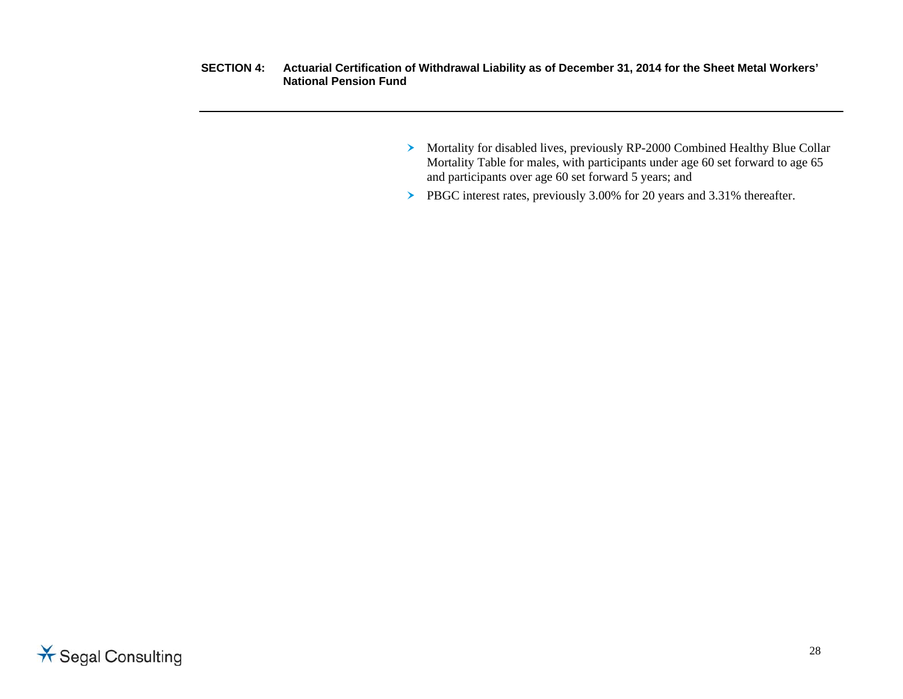- Mortality for disabled lives, previously RP-2000 Combined Healthy Blue Collar Mortality Table for males, with participants under age 60 set forward to age 65 and participants over age 60 set forward 5 years; and
- PBGC interest rates, previously 3.00% for 20 years and 3.31% thereafter.

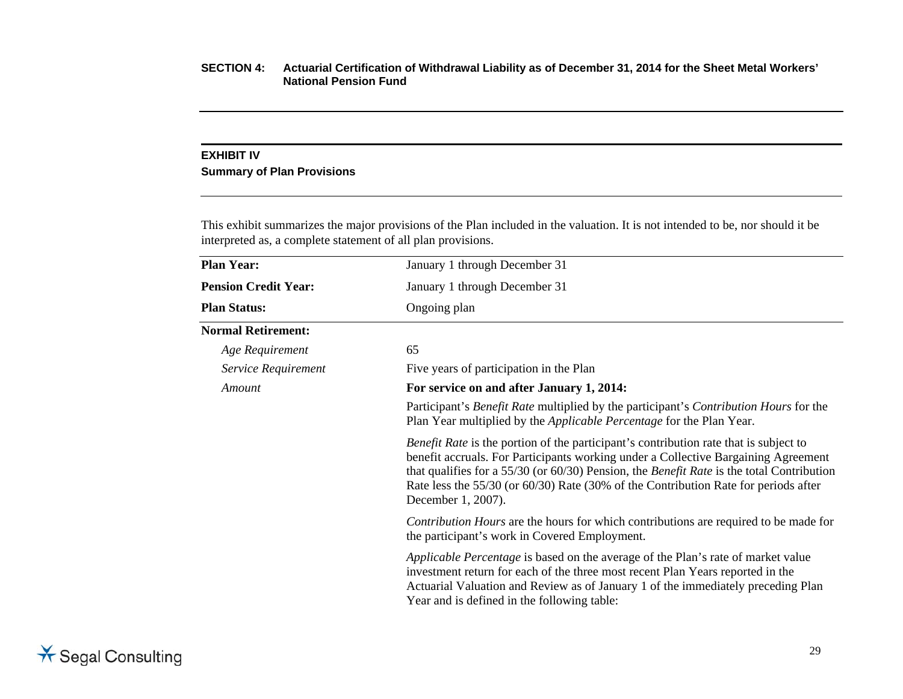#### **EXHIBIT IV**

#### **Summary of Plan Provisions**

This exhibit summarizes the major provisions of the Plan included in the valuation. It is not intended to be, nor should it be interpreted as, a complete statement of all plan provisions.

| <b>Plan Year:</b>           | January 1 through December 31                                                                                                                                                                                                                                                                                                                                                                       |
|-----------------------------|-----------------------------------------------------------------------------------------------------------------------------------------------------------------------------------------------------------------------------------------------------------------------------------------------------------------------------------------------------------------------------------------------------|
| <b>Pension Credit Year:</b> | January 1 through December 31                                                                                                                                                                                                                                                                                                                                                                       |
| <b>Plan Status:</b>         | Ongoing plan                                                                                                                                                                                                                                                                                                                                                                                        |
| <b>Normal Retirement:</b>   |                                                                                                                                                                                                                                                                                                                                                                                                     |
| Age Requirement             | 65                                                                                                                                                                                                                                                                                                                                                                                                  |
| Service Requirement         | Five years of participation in the Plan                                                                                                                                                                                                                                                                                                                                                             |
| Amount                      | For service on and after January 1, 2014:                                                                                                                                                                                                                                                                                                                                                           |
|                             | Participant's <i>Benefit Rate</i> multiplied by the participant's <i>Contribution Hours</i> for the<br>Plan Year multiplied by the <i>Applicable Percentage</i> for the Plan Year.                                                                                                                                                                                                                  |
|                             | <i>Benefit Rate</i> is the portion of the participant's contribution rate that is subject to<br>benefit accruals. For Participants working under a Collective Bargaining Agreement<br>that qualifies for a 55/30 (or 60/30) Pension, the <i>Benefit Rate</i> is the total Contribution<br>Rate less the 55/30 (or 60/30) Rate (30% of the Contribution Rate for periods after<br>December 1, 2007). |
|                             | Contribution Hours are the hours for which contributions are required to be made for<br>the participant's work in Covered Employment.                                                                                                                                                                                                                                                               |
|                             | <i>Applicable Percentage</i> is based on the average of the Plan's rate of market value<br>investment return for each of the three most recent Plan Years reported in the<br>Actuarial Valuation and Review as of January 1 of the immediately preceding Plan<br>Year and is defined in the following table:                                                                                        |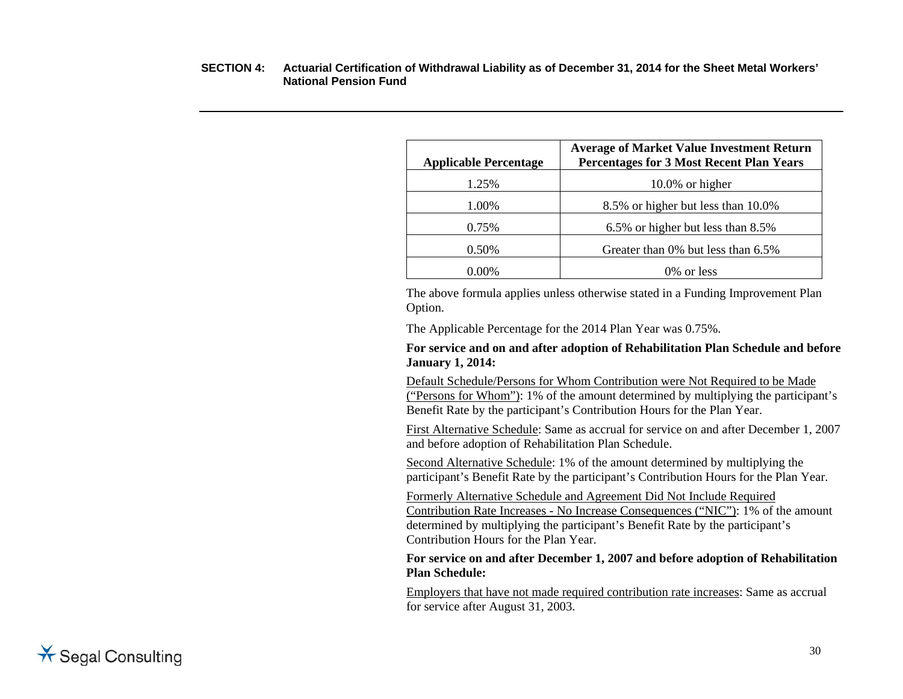| <b>Applicable Percentage</b> | <b>Average of Market Value Investment Return</b><br><b>Percentages for 3 Most Recent Plan Years</b> |
|------------------------------|-----------------------------------------------------------------------------------------------------|
| 1.25%                        | $10.0\%$ or higher                                                                                  |
| 1.00%                        | 8.5% or higher but less than 10.0%                                                                  |
| 0.75%                        | 6.5% or higher but less than 8.5%                                                                   |
| 0.50%                        | Greater than 0% but less than 6.5%                                                                  |
| 0.00%                        | 0\% or less                                                                                         |

 The above formula applies unless otherwise stated in a Funding Improvement Plan Option.

The Applicable Percentage for the 2014 Plan Year was 0.75%.

#### **For service and on and after adoption of Rehabilitation Plan Schedule and before January 1, 2014:**

Default Schedule/Persons for Whom Contribution were Not Required to be Made ("Persons for Whom"): 1% of the amount determined by multiplying the participant's Benefit Rate by the participant's Contribution Hours for the Plan Year.

First Alternative Schedule: Same as accrual for service on and after December 1, 2007 and before adoption of Rehabilitation Plan Schedule.

 Second Alternative Schedule: 1% of the amount determined by multiplying the participant's Benefit Rate by the participant's Contribution Hours for the Plan Year.

 Formerly Alternative Schedule and Agreement Did Not Include Required Contribution Rate Increases - No Increase Consequences ("NIC"): 1% of the amount determined by multiplying the participant's Benefit Rate by the participant's Contribution Hours for the Plan Year.

#### **For service on and after December 1, 2007 and before adoption of Rehabilitation Plan Schedule:**

 Employers that have not made required contribution rate increases: Same as accrual for service after August 31, 2003.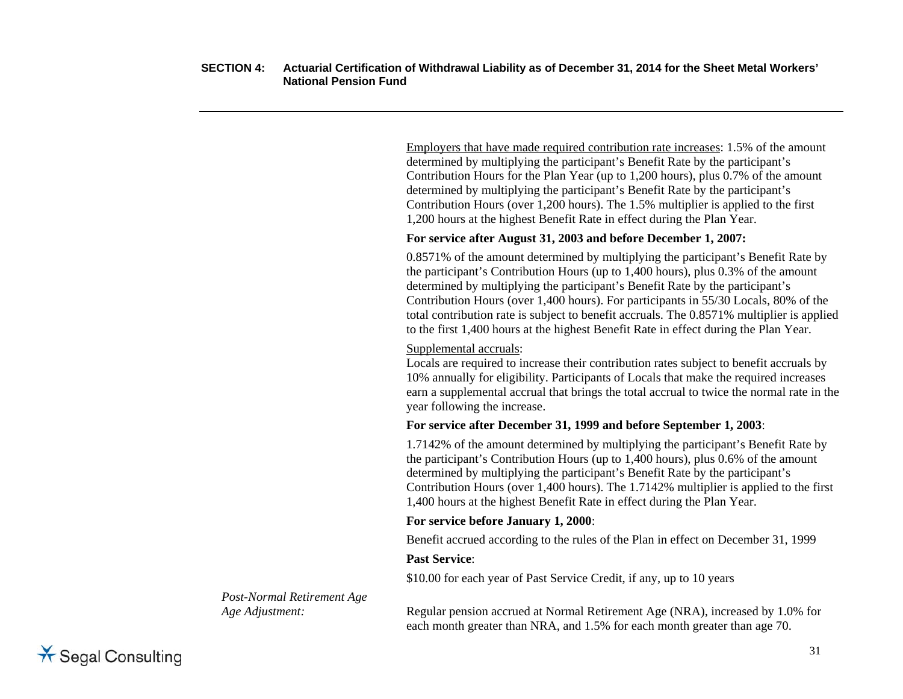Employers that have made required contribution rate increases: 1.5% of the amount determined by multiplying the participant's Benefit Rate by the participant's Contribution Hours for the Plan Year (up to 1,200 hours), plus 0.7% of the amount determined by multiplying the participant's Benefit Rate by the participant's Contribution Hours (over 1,200 hours). The 1.5% multiplier is applied to the first 1,200 hours at the highest Benefit Rate in effect during the Plan Year.

#### **For service after August 31, 2003 and before December 1, 2007:**

 0.8571% of the amount determined by multiplying the participant's Benefit Rate by the participant's Contribution Hours (up to 1,400 hours), plus 0.3% of the amount determined by multiplying the participant's Benefit Rate by the participant's Contribution Hours (over 1,400 hours). For participants in 55/30 Locals, 80% of the total contribution rate is subject to benefit accruals. The 0.8571% multiplier is applied to the first 1,400 hours at the highest Benefit Rate in effect during the Plan Year.

#### Supplemental accruals:

 Locals are required to increase their contribution rates subject to benefit accruals by 10% annually for eligibility. Participants of Locals that make the required increases earn a supplemental accrual that brings the total accrual to twice the normal rate in the year following the increase.

#### **For service after December 31, 1999 and before September 1, 2003**:

 1.7142% of the amount determined by multiplying the participant's Benefit Rate by the participant's Contribution Hours (up to 1,400 hours), plus 0.6% of the amount determined by multiplying the participant's Benefit Rate by the participant's Contribution Hours (over 1,400 hours). The 1.7142% multiplier is applied to the first 1,400 hours at the highest Benefit Rate in effect during the Plan Year.

#### **For service before January 1, 2000**:

Benefit accrued according to the rules of the Plan in effect on December 31, 1999

#### **Past Service**:

\$10.00 for each year of Past Service Credit, if any, up to 10 years

*Age Adjustment:* **Regular pension accrued at Normal Retirement Age (NRA), increased by 1.0% for** each month greater than NRA, and 1.5% for each month greater than age 70.

*Post-Normal Retirement Age* 

**X** Segal Consulting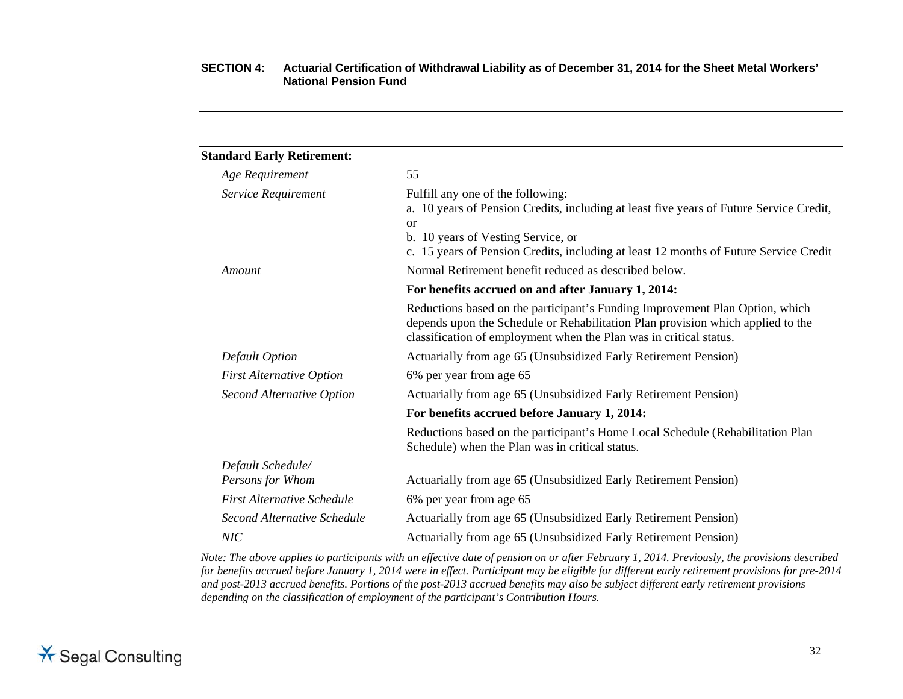| <b>Standard Early Retirement:</b> |                                                                                                                                                                                                                                                                              |
|-----------------------------------|------------------------------------------------------------------------------------------------------------------------------------------------------------------------------------------------------------------------------------------------------------------------------|
| Age Requirement                   | 55                                                                                                                                                                                                                                                                           |
| Service Requirement               | Fulfill any one of the following:<br>a. 10 years of Pension Credits, including at least five years of Future Service Credit,<br><sub>or</sub><br>b. 10 years of Vesting Service, or<br>c. 15 years of Pension Credits, including at least 12 months of Future Service Credit |
| Amount                            | Normal Retirement benefit reduced as described below.                                                                                                                                                                                                                        |
|                                   | For benefits accrued on and after January 1, 2014:                                                                                                                                                                                                                           |
|                                   | Reductions based on the participant's Funding Improvement Plan Option, which<br>depends upon the Schedule or Rehabilitation Plan provision which applied to the<br>classification of employment when the Plan was in critical status.                                        |
| Default Option                    | Actuarially from age 65 (Unsubsidized Early Retirement Pension)                                                                                                                                                                                                              |
| <b>First Alternative Option</b>   | 6% per year from age 65                                                                                                                                                                                                                                                      |
| <b>Second Alternative Option</b>  | Actuarially from age 65 (Unsubsidized Early Retirement Pension)                                                                                                                                                                                                              |
|                                   | For benefits accrued before January 1, 2014:                                                                                                                                                                                                                                 |
|                                   | Reductions based on the participant's Home Local Schedule (Rehabilitation Plan<br>Schedule) when the Plan was in critical status.                                                                                                                                            |
| Default Schedule/                 |                                                                                                                                                                                                                                                                              |
| Persons for Whom                  | Actuarially from age 65 (Unsubsidized Early Retirement Pension)                                                                                                                                                                                                              |
| <b>First Alternative Schedule</b> | 6% per year from age 65                                                                                                                                                                                                                                                      |
| Second Alternative Schedule       | Actuarially from age 65 (Unsubsidized Early Retirement Pension)                                                                                                                                                                                                              |
| NIC                               | Actuarially from age 65 (Unsubsidized Early Retirement Pension)                                                                                                                                                                                                              |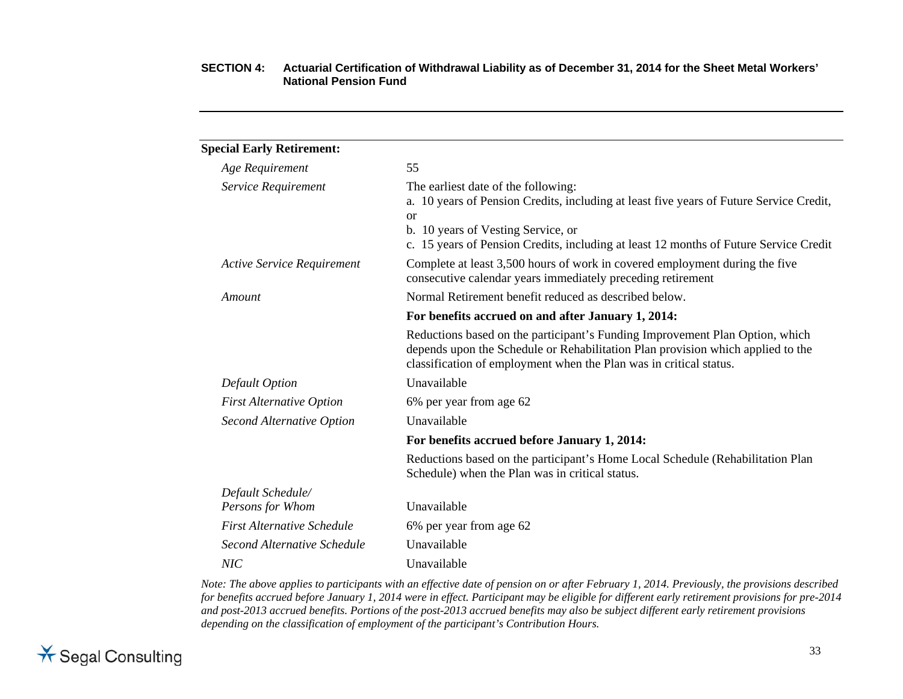| 55                                                                                                                                                                                                                                                                             |
|--------------------------------------------------------------------------------------------------------------------------------------------------------------------------------------------------------------------------------------------------------------------------------|
| The earliest date of the following:<br>a. 10 years of Pension Credits, including at least five years of Future Service Credit,<br><sub>or</sub><br>b. 10 years of Vesting Service, or<br>c. 15 years of Pension Credits, including at least 12 months of Future Service Credit |
| Complete at least 3,500 hours of work in covered employment during the five<br>consecutive calendar years immediately preceding retirement                                                                                                                                     |
| Normal Retirement benefit reduced as described below.                                                                                                                                                                                                                          |
| For benefits accrued on and after January 1, 2014:                                                                                                                                                                                                                             |
| Reductions based on the participant's Funding Improvement Plan Option, which<br>depends upon the Schedule or Rehabilitation Plan provision which applied to the<br>classification of employment when the Plan was in critical status.                                          |
| Unavailable                                                                                                                                                                                                                                                                    |
| 6% per year from age 62                                                                                                                                                                                                                                                        |
| Unavailable                                                                                                                                                                                                                                                                    |
| For benefits accrued before January 1, 2014:                                                                                                                                                                                                                                   |
| Reductions based on the participant's Home Local Schedule (Rehabilitation Plan<br>Schedule) when the Plan was in critical status.                                                                                                                                              |
|                                                                                                                                                                                                                                                                                |
| Unavailable                                                                                                                                                                                                                                                                    |
| 6% per year from age 62                                                                                                                                                                                                                                                        |
| Unavailable                                                                                                                                                                                                                                                                    |
| Unavailable                                                                                                                                                                                                                                                                    |
|                                                                                                                                                                                                                                                                                |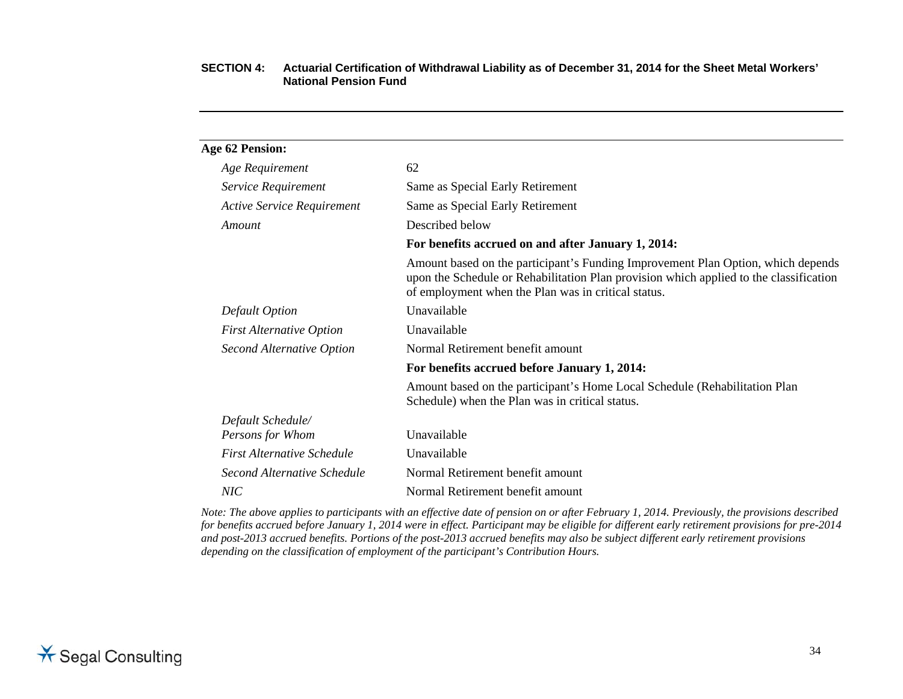| <b>Age 62 Pension:</b>            |                                                                                                                                                                                                                                   |
|-----------------------------------|-----------------------------------------------------------------------------------------------------------------------------------------------------------------------------------------------------------------------------------|
| Age Requirement                   | 62                                                                                                                                                                                                                                |
| Service Requirement               | Same as Special Early Retirement                                                                                                                                                                                                  |
| <b>Active Service Requirement</b> | Same as Special Early Retirement                                                                                                                                                                                                  |
| Amount                            | Described below                                                                                                                                                                                                                   |
|                                   | For benefits accrued on and after January 1, 2014:                                                                                                                                                                                |
|                                   | Amount based on the participant's Funding Improvement Plan Option, which depends<br>upon the Schedule or Rehabilitation Plan provision which applied to the classification<br>of employment when the Plan was in critical status. |
| <b>Default Option</b>             | Unavailable                                                                                                                                                                                                                       |
| <b>First Alternative Option</b>   | Unavailable                                                                                                                                                                                                                       |
| <b>Second Alternative Option</b>  | Normal Retirement benefit amount                                                                                                                                                                                                  |
|                                   | For benefits accrued before January 1, 2014:                                                                                                                                                                                      |
|                                   | Amount based on the participant's Home Local Schedule (Rehabilitation Plan<br>Schedule) when the Plan was in critical status.                                                                                                     |
| Default Schedule/                 |                                                                                                                                                                                                                                   |
| Persons for Whom                  | Unavailable                                                                                                                                                                                                                       |
| <b>First Alternative Schedule</b> | Unavailable                                                                                                                                                                                                                       |
| Second Alternative Schedule       | Normal Retirement benefit amount                                                                                                                                                                                                  |
| NIC                               | Normal Retirement benefit amount                                                                                                                                                                                                  |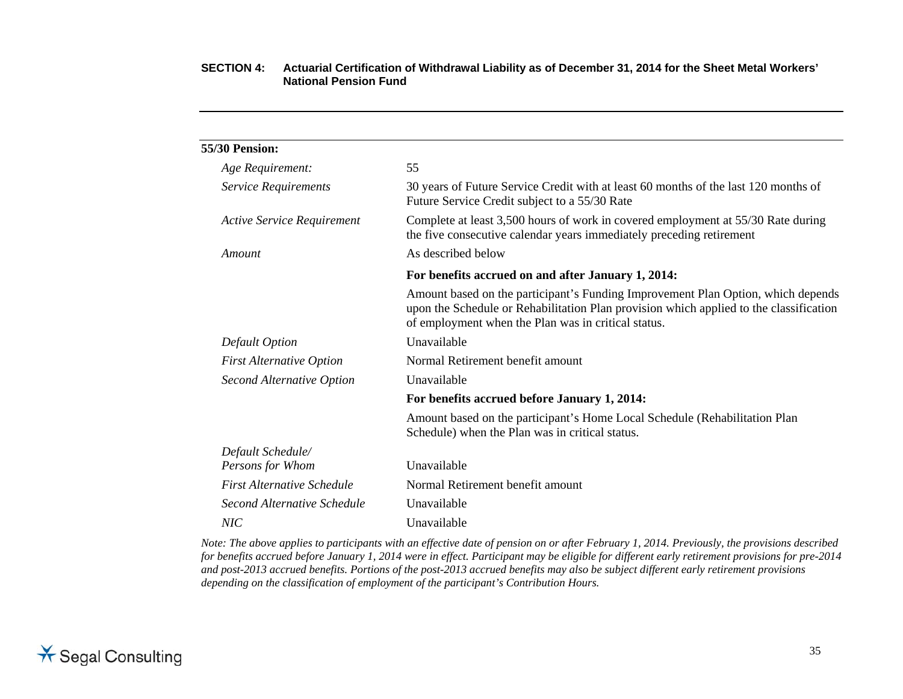| <b>55/30 Pension:</b>             |                                                                                                                                                                                                                                   |
|-----------------------------------|-----------------------------------------------------------------------------------------------------------------------------------------------------------------------------------------------------------------------------------|
| Age Requirement:                  | 55                                                                                                                                                                                                                                |
| Service Requirements              | 30 years of Future Service Credit with at least 60 months of the last 120 months of<br>Future Service Credit subject to a 55/30 Rate                                                                                              |
| <b>Active Service Requirement</b> | Complete at least 3,500 hours of work in covered employment at 55/30 Rate during<br>the five consecutive calendar years immediately preceding retirement                                                                          |
| Amount                            | As described below                                                                                                                                                                                                                |
|                                   | For benefits accrued on and after January 1, 2014:                                                                                                                                                                                |
|                                   | Amount based on the participant's Funding Improvement Plan Option, which depends<br>upon the Schedule or Rehabilitation Plan provision which applied to the classification<br>of employment when the Plan was in critical status. |
| <b>Default Option</b>             | Unavailable                                                                                                                                                                                                                       |
| <b>First Alternative Option</b>   | Normal Retirement benefit amount                                                                                                                                                                                                  |
| Second Alternative Option         | Unavailable                                                                                                                                                                                                                       |
|                                   | For benefits accrued before January 1, 2014:                                                                                                                                                                                      |
|                                   | Amount based on the participant's Home Local Schedule (Rehabilitation Plan<br>Schedule) when the Plan was in critical status.                                                                                                     |
| Default Schedule/                 |                                                                                                                                                                                                                                   |
| Persons for Whom                  | Unavailable                                                                                                                                                                                                                       |
| <b>First Alternative Schedule</b> | Normal Retirement benefit amount                                                                                                                                                                                                  |
| Second Alternative Schedule       | Unavailable                                                                                                                                                                                                                       |
| NIC                               | Unavailable                                                                                                                                                                                                                       |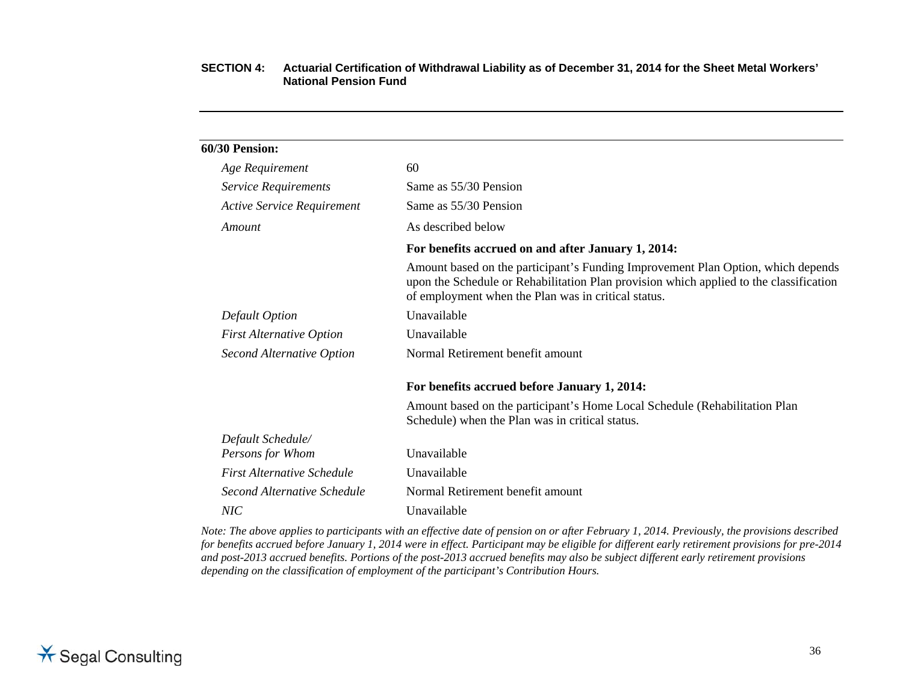| 60/30 Pension:                    |                                                                                                                                                                                                                                   |
|-----------------------------------|-----------------------------------------------------------------------------------------------------------------------------------------------------------------------------------------------------------------------------------|
| Age Requirement                   | 60                                                                                                                                                                                                                                |
| Service Requirements              | Same as 55/30 Pension                                                                                                                                                                                                             |
| <b>Active Service Requirement</b> | Same as 55/30 Pension                                                                                                                                                                                                             |
| Amount                            | As described below                                                                                                                                                                                                                |
|                                   | For benefits accrued on and after January 1, 2014:                                                                                                                                                                                |
|                                   | Amount based on the participant's Funding Improvement Plan Option, which depends<br>upon the Schedule or Rehabilitation Plan provision which applied to the classification<br>of employment when the Plan was in critical status. |
| <b>Default Option</b>             | Unavailable                                                                                                                                                                                                                       |
| <b>First Alternative Option</b>   | Unavailable                                                                                                                                                                                                                       |
| <b>Second Alternative Option</b>  | Normal Retirement benefit amount                                                                                                                                                                                                  |
|                                   | For benefits accrued before January 1, 2014:                                                                                                                                                                                      |
|                                   | Amount based on the participant's Home Local Schedule (Rehabilitation Plan<br>Schedule) when the Plan was in critical status.                                                                                                     |
| Default Schedule/                 |                                                                                                                                                                                                                                   |
| Persons for Whom                  | Unavailable                                                                                                                                                                                                                       |
| <b>First Alternative Schedule</b> | Unavailable                                                                                                                                                                                                                       |
| Second Alternative Schedule       | Normal Retirement benefit amount                                                                                                                                                                                                  |
| NIC                               | Unavailable                                                                                                                                                                                                                       |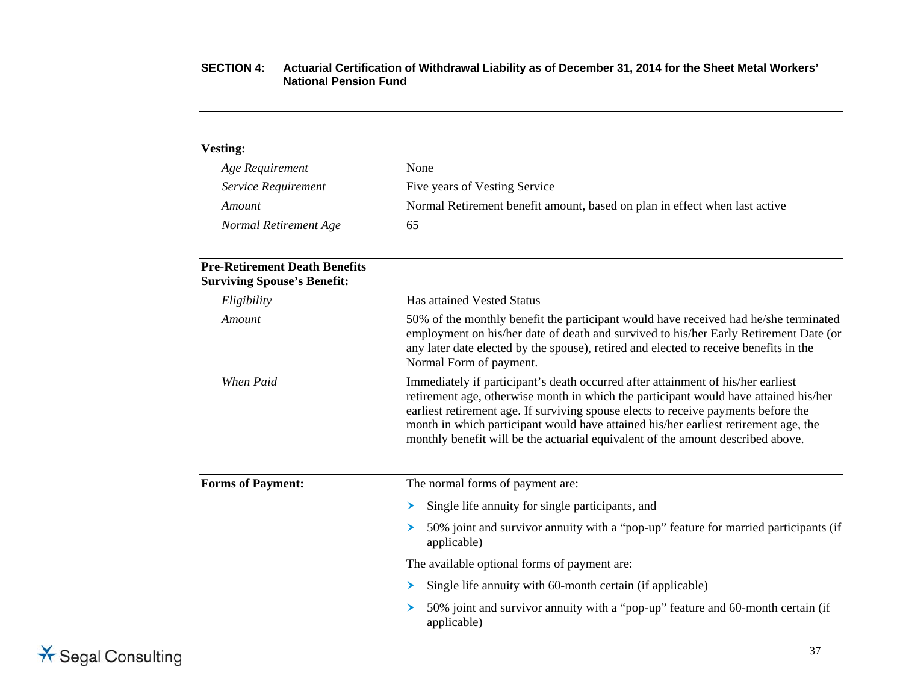| <b>Vesting:</b>                                                            |                                                                                                                                                                                                                                                                                                                                                                                                                                          |  |
|----------------------------------------------------------------------------|------------------------------------------------------------------------------------------------------------------------------------------------------------------------------------------------------------------------------------------------------------------------------------------------------------------------------------------------------------------------------------------------------------------------------------------|--|
| Age Requirement                                                            | None                                                                                                                                                                                                                                                                                                                                                                                                                                     |  |
| Service Requirement                                                        | Five years of Vesting Service                                                                                                                                                                                                                                                                                                                                                                                                            |  |
| Amount                                                                     | Normal Retirement benefit amount, based on plan in effect when last active                                                                                                                                                                                                                                                                                                                                                               |  |
| Normal Retirement Age                                                      | 65                                                                                                                                                                                                                                                                                                                                                                                                                                       |  |
| <b>Pre-Retirement Death Benefits</b><br><b>Surviving Spouse's Benefit:</b> |                                                                                                                                                                                                                                                                                                                                                                                                                                          |  |
| Eligibility                                                                | Has attained Vested Status                                                                                                                                                                                                                                                                                                                                                                                                               |  |
| Amount                                                                     | 50% of the monthly benefit the participant would have received had he/she terminated<br>employment on his/her date of death and survived to his/her Early Retirement Date (or<br>any later date elected by the spouse), retired and elected to receive benefits in the<br>Normal Form of payment.                                                                                                                                        |  |
| When Paid                                                                  | Immediately if participant's death occurred after attainment of his/her earliest<br>retirement age, otherwise month in which the participant would have attained his/her<br>earliest retirement age. If surviving spouse elects to receive payments before the<br>month in which participant would have attained his/her earliest retirement age, the<br>monthly benefit will be the actuarial equivalent of the amount described above. |  |
| <b>Forms of Payment:</b>                                                   | The normal forms of payment are:                                                                                                                                                                                                                                                                                                                                                                                                         |  |
|                                                                            | Single life annuity for single participants, and<br>➤                                                                                                                                                                                                                                                                                                                                                                                    |  |
|                                                                            | 50% joint and survivor annuity with a "pop-up" feature for married participants (if<br>➤<br>applicable)                                                                                                                                                                                                                                                                                                                                  |  |
|                                                                            | The available optional forms of payment are:                                                                                                                                                                                                                                                                                                                                                                                             |  |
|                                                                            | Single life annuity with 60-month certain (if applicable)<br>➤                                                                                                                                                                                                                                                                                                                                                                           |  |
|                                                                            | 50% joint and survivor annuity with a "pop-up" feature and 60-month certain (if<br>➤<br>applicable)                                                                                                                                                                                                                                                                                                                                      |  |
|                                                                            |                                                                                                                                                                                                                                                                                                                                                                                                                                          |  |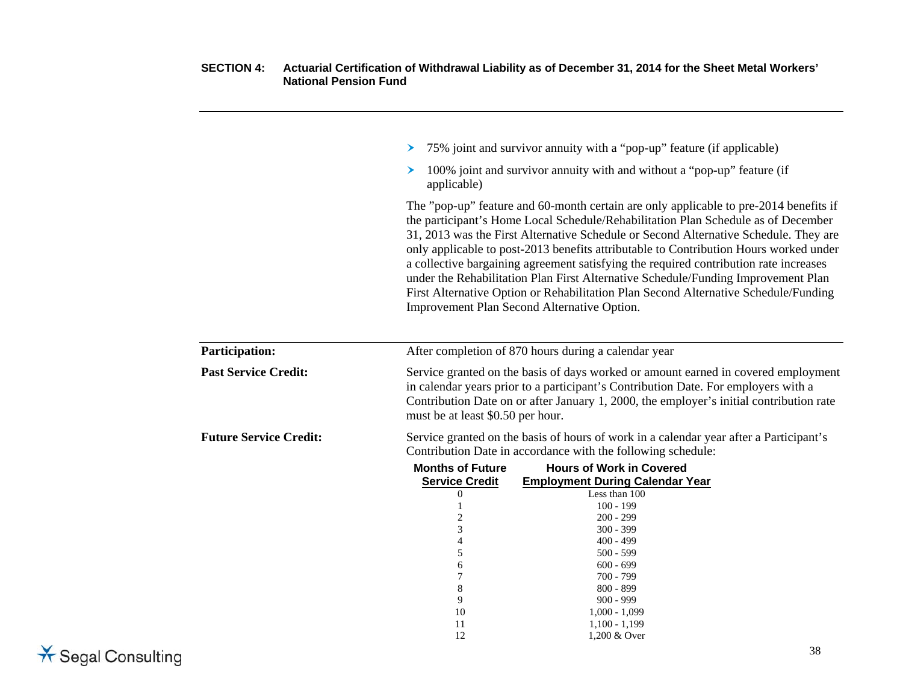|                               | ≻                                                                                                                                                                                                                                                                                                        | 75% joint and survivor annuity with a "pop-up" feature (if applicable)                                                                                                                                                                                                                                                                                                                                                                                                                                                                                                                                                                                                          |
|-------------------------------|----------------------------------------------------------------------------------------------------------------------------------------------------------------------------------------------------------------------------------------------------------------------------------------------------------|---------------------------------------------------------------------------------------------------------------------------------------------------------------------------------------------------------------------------------------------------------------------------------------------------------------------------------------------------------------------------------------------------------------------------------------------------------------------------------------------------------------------------------------------------------------------------------------------------------------------------------------------------------------------------------|
|                               | ≻<br>applicable)                                                                                                                                                                                                                                                                                         | 100% joint and survivor annuity with and without a "pop-up" feature (if                                                                                                                                                                                                                                                                                                                                                                                                                                                                                                                                                                                                         |
|                               |                                                                                                                                                                                                                                                                                                          | The "pop-up" feature and 60-month certain are only applicable to pre-2014 benefits if<br>the participant's Home Local Schedule/Rehabilitation Plan Schedule as of December<br>31, 2013 was the First Alternative Schedule or Second Alternative Schedule. They are<br>only applicable to post-2013 benefits attributable to Contribution Hours worked under<br>a collective bargaining agreement satisfying the required contribution rate increases<br>under the Rehabilitation Plan First Alternative Schedule/Funding Improvement Plan<br>First Alternative Option or Rehabilitation Plan Second Alternative Schedule/Funding<br>Improvement Plan Second Alternative Option. |
| <b>Participation:</b>         | After completion of 870 hours during a calendar year                                                                                                                                                                                                                                                     |                                                                                                                                                                                                                                                                                                                                                                                                                                                                                                                                                                                                                                                                                 |
| <b>Past Service Credit:</b>   | Service granted on the basis of days worked or amount earned in covered employment<br>in calendar years prior to a participant's Contribution Date. For employers with a<br>Contribution Date on or after January 1, 2000, the employer's initial contribution rate<br>must be at least \$0.50 per hour. |                                                                                                                                                                                                                                                                                                                                                                                                                                                                                                                                                                                                                                                                                 |
| <b>Future Service Credit:</b> | Service granted on the basis of hours of work in a calendar year after a Participant's<br>Contribution Date in accordance with the following schedule:                                                                                                                                                   |                                                                                                                                                                                                                                                                                                                                                                                                                                                                                                                                                                                                                                                                                 |
|                               | <b>Months of Future</b>                                                                                                                                                                                                                                                                                  | <b>Hours of Work in Covered</b>                                                                                                                                                                                                                                                                                                                                                                                                                                                                                                                                                                                                                                                 |
|                               | <b>Service Credit</b>                                                                                                                                                                                                                                                                                    | <b>Employment During Calendar Year</b>                                                                                                                                                                                                                                                                                                                                                                                                                                                                                                                                                                                                                                          |
|                               | $\overline{0}$                                                                                                                                                                                                                                                                                           | Less than 100                                                                                                                                                                                                                                                                                                                                                                                                                                                                                                                                                                                                                                                                   |
|                               | 1                                                                                                                                                                                                                                                                                                        | $100 - 199$                                                                                                                                                                                                                                                                                                                                                                                                                                                                                                                                                                                                                                                                     |
|                               | 2                                                                                                                                                                                                                                                                                                        | $200 - 299$                                                                                                                                                                                                                                                                                                                                                                                                                                                                                                                                                                                                                                                                     |
|                               | 3                                                                                                                                                                                                                                                                                                        | $300 - 399$                                                                                                                                                                                                                                                                                                                                                                                                                                                                                                                                                                                                                                                                     |
|                               | 4                                                                                                                                                                                                                                                                                                        | $400 - 499$                                                                                                                                                                                                                                                                                                                                                                                                                                                                                                                                                                                                                                                                     |
|                               | 5                                                                                                                                                                                                                                                                                                        | $500 - 599$                                                                                                                                                                                                                                                                                                                                                                                                                                                                                                                                                                                                                                                                     |
|                               | 6<br>7                                                                                                                                                                                                                                                                                                   | $600 - 699$<br>$700 - 799$                                                                                                                                                                                                                                                                                                                                                                                                                                                                                                                                                                                                                                                      |
|                               | 8                                                                                                                                                                                                                                                                                                        | 800 - 899                                                                                                                                                                                                                                                                                                                                                                                                                                                                                                                                                                                                                                                                       |
|                               | 9                                                                                                                                                                                                                                                                                                        | $900 - 999$                                                                                                                                                                                                                                                                                                                                                                                                                                                                                                                                                                                                                                                                     |
|                               | 10                                                                                                                                                                                                                                                                                                       | $1,000 - 1,099$                                                                                                                                                                                                                                                                                                                                                                                                                                                                                                                                                                                                                                                                 |
|                               | 11                                                                                                                                                                                                                                                                                                       | $1,100 - 1,199$                                                                                                                                                                                                                                                                                                                                                                                                                                                                                                                                                                                                                                                                 |
|                               | 12                                                                                                                                                                                                                                                                                                       | 1,200 & Over                                                                                                                                                                                                                                                                                                                                                                                                                                                                                                                                                                                                                                                                    |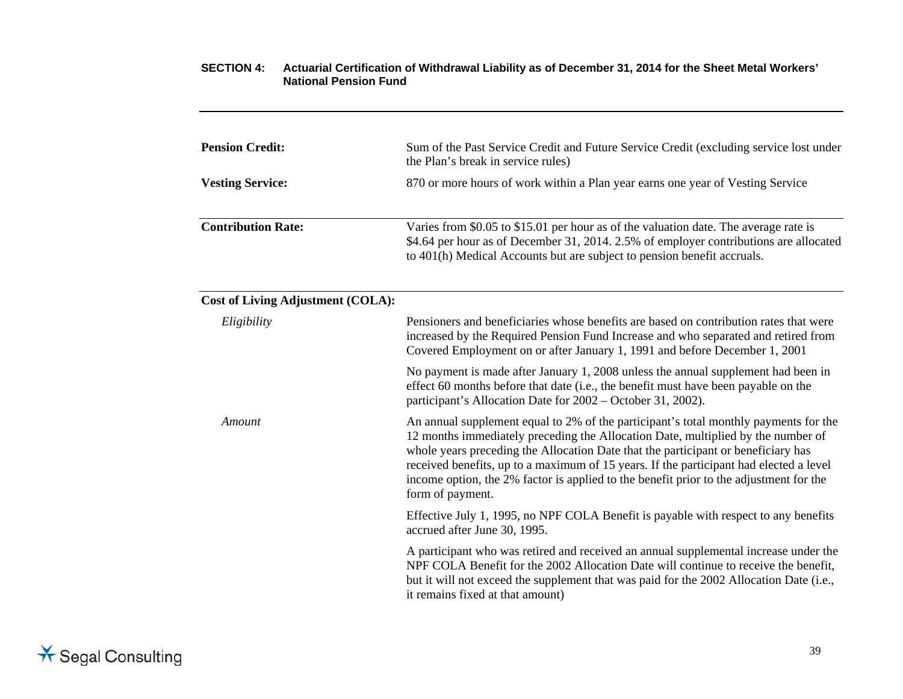| <b>Pension Credit:</b>                   | Sum of the Past Service Credit and Future Service Credit (excluding service lost under<br>the Plan's break in service rules)                                                                                                                                                                                                                                                                                                                                          |  |
|------------------------------------------|-----------------------------------------------------------------------------------------------------------------------------------------------------------------------------------------------------------------------------------------------------------------------------------------------------------------------------------------------------------------------------------------------------------------------------------------------------------------------|--|
| <b>Vesting Service:</b>                  | 870 or more hours of work within a Plan year earns one year of Vesting Service                                                                                                                                                                                                                                                                                                                                                                                        |  |
| <b>Contribution Rate:</b>                | Varies from \$0.05 to \$15.01 per hour as of the valuation date. The average rate is<br>\$4.64 per hour as of December 31, 2014. 2.5% of employer contributions are allocated<br>to 401(h) Medical Accounts but are subject to pension benefit accruals.                                                                                                                                                                                                              |  |
| <b>Cost of Living Adjustment (COLA):</b> |                                                                                                                                                                                                                                                                                                                                                                                                                                                                       |  |
| Eligibility                              | Pensioners and beneficiaries whose benefits are based on contribution rates that were<br>increased by the Required Pension Fund Increase and who separated and retired from<br>Covered Employment on or after January 1, 1991 and before December 1, 2001                                                                                                                                                                                                             |  |
|                                          | No payment is made after January 1, 2008 unless the annual supplement had been in<br>effect 60 months before that date (i.e., the benefit must have been payable on the<br>participant's Allocation Date for 2002 – October 31, 2002).                                                                                                                                                                                                                                |  |
| Amount                                   | An annual supplement equal to 2% of the participant's total monthly payments for the<br>12 months immediately preceding the Allocation Date, multiplied by the number of<br>whole years preceding the Allocation Date that the participant or beneficiary has<br>received benefits, up to a maximum of 15 years. If the participant had elected a level<br>income option, the 2% factor is applied to the benefit prior to the adjustment for the<br>form of payment. |  |
|                                          | Effective July 1, 1995, no NPF COLA Benefit is payable with respect to any benefits<br>accrued after June 30, 1995.                                                                                                                                                                                                                                                                                                                                                   |  |
|                                          | A participant who was retired and received an annual supplemental increase under the<br>NPF COLA Benefit for the 2002 Allocation Date will continue to receive the benefit,<br>but it will not exceed the supplement that was paid for the 2002 Allocation Date (i.e.,<br>it remains fixed at that amount)                                                                                                                                                            |  |
|                                          |                                                                                                                                                                                                                                                                                                                                                                                                                                                                       |  |